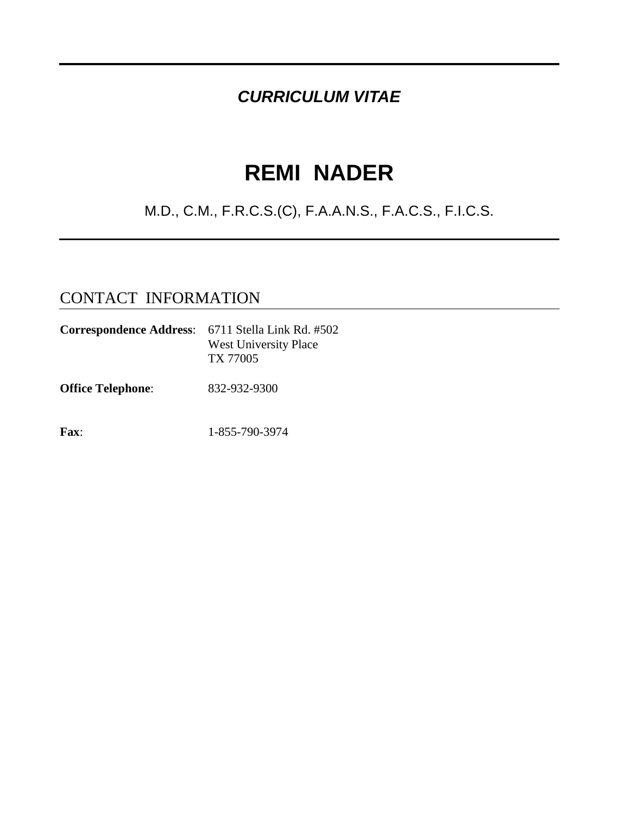### *CURRICULUM VITAE*

# **REMI NADER**

### M.D., C.M., F.R.C.S.(C), F.A.A.N.S., F.A.C.S., F.I.C.S.

#### CONTACT INFORMATION

| <b>Correspondence Address:</b> 6711 Stella Link Rd. #502 | <b>West University Place</b><br>TX 77005 |
|----------------------------------------------------------|------------------------------------------|
| <b>Office Telephone:</b>                                 | 832-932-9300                             |
| <b>Fax:</b>                                              | 1-855-790-3974                           |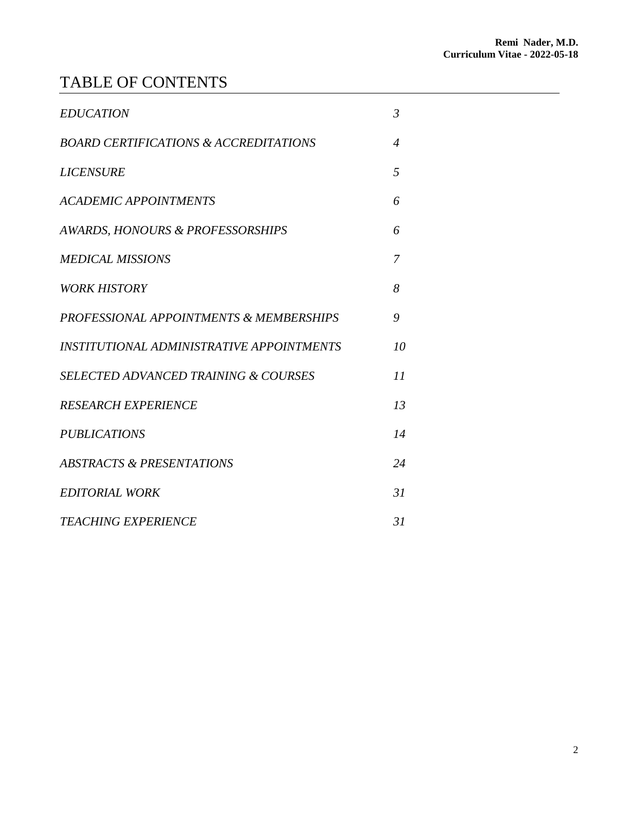### TABLE OF CONTENTS

| <b>EDUCATION</b>                                   | $\mathfrak{Z}$ |
|----------------------------------------------------|----------------|
| <b>BOARD CERTIFICATIONS &amp; ACCREDITATIONS</b>   | $\overline{4}$ |
| <b>LICENSURE</b>                                   | 5              |
| <b>ACADEMIC APPOINTMENTS</b>                       | 6              |
| AWARDS, HONOURS & PROFESSORSHIPS                   | 6              |
| <b>MEDICAL MISSIONS</b>                            | 7              |
| <b>WORK HISTORY</b>                                | 8              |
| <b>PROFESSIONAL APPOINTMENTS &amp; MEMBERSHIPS</b> | 9              |
| INSTITUTIONAL ADMINISTRATIVE APPOINTMENTS          | 10             |
| <b>SELECTED ADVANCED TRAINING &amp; COURSES</b>    | 11             |
| <b>RESEARCH EXPERIENCE</b>                         | 13             |
| <b>PUBLICATIONS</b>                                | 14             |
| <b>ABSTRACTS &amp; PRESENTATIONS</b>               | 24             |
| <b>EDITORIAL WORK</b>                              | 31             |
| <b>TEACHING EXPERIENCE</b>                         | 31             |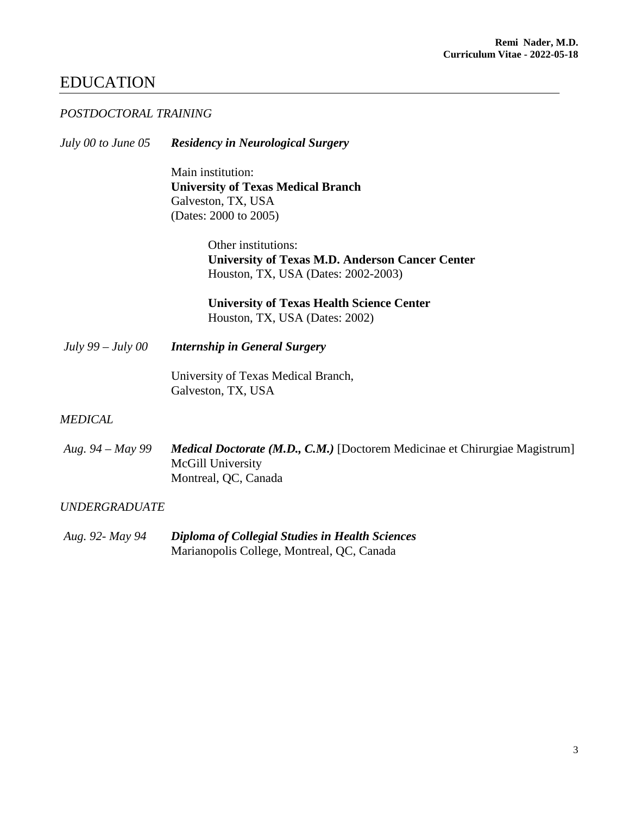#### EDUCATION

#### *POSTDOCTORAL TRAINING*

*July 00 to June 05 Residency in Neurological Surgery*

Main institution: **University of Texas Medical Branch** Galveston, TX, USA (Dates: 2000 to 2005)

> Other institutions: **University of Texas M.D. Anderson Cancer Center** Houston, TX, USA (Dates: 2002-2003)

**University of Texas Health Science Center** Houston, TX, USA (Dates: 2002)

*July 99 – July 00 Internship in General Surgery*

University of Texas Medical Branch, Galveston, TX, USA

#### *MEDICAL*

*Aug. 94 – May 99 Medical Doctorate (M.D., C.M.)* [Doctorem Medicinae et Chirurgiae Magistrum] McGill University Montreal, QC, Canada

#### *UNDERGRADUATE*

*Aug. 92- May 94 Diploma of Collegial Studies in Health Sciences* Marianopolis College, Montreal, QC, Canada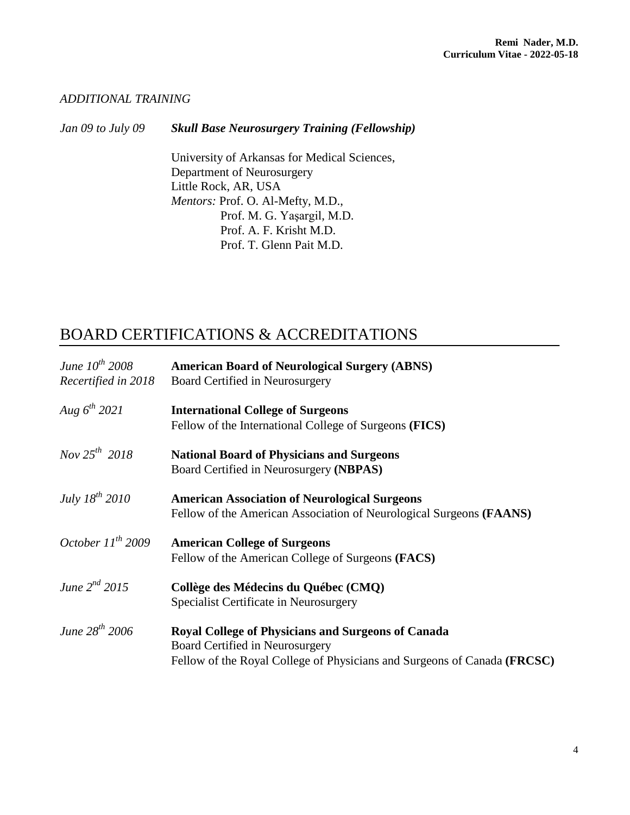#### *ADDITIONAL TRAINING*

*Jan 09 to July 09 Skull Base Neurosurgery Training (Fellowship)*

University of Arkansas for Medical Sciences, Department of Neurosurgery Little Rock, AR, USA *Mentors:* Prof. O. Al-Mefty, M.D., Prof. M. G. Yaşargil, M.D. Prof. A. F. Krisht M.D. Prof. T. Glenn Pait M.D.

#### BOARD CERTIFICATIONS & ACCREDITATIONS

| June $10^{th}$ 2008    | <b>American Board of Neurological Surgery (ABNS)</b>                                                                                                                     |
|------------------------|--------------------------------------------------------------------------------------------------------------------------------------------------------------------------|
| Recertified in 2018    | Board Certified in Neurosurgery                                                                                                                                          |
| Aug $6^{th}$ 2021      | <b>International College of Surgeons</b><br>Fellow of the International College of Surgeons (FICS)                                                                       |
| Nov $25^{th}$ 2018     | <b>National Board of Physicians and Surgeons</b><br>Board Certified in Neurosurgery (NBPAS)                                                                              |
| July $18^{th}$ 2010    | <b>American Association of Neurological Surgeons</b><br>Fellow of the American Association of Neurological Surgeons (FAANS)                                              |
| October $11^{th}$ 2009 | <b>American College of Surgeons</b><br>Fellow of the American College of Surgeons (FACS)                                                                                 |
| June $2^{nd}$ 2015     | Collège des Médecins du Québec (CMQ)<br>Specialist Certificate in Neurosurgery                                                                                           |
| June $28^{th}$ 2006    | <b>Royal College of Physicians and Surgeons of Canada</b><br>Board Certified in Neurosurgery<br>Fellow of the Royal College of Physicians and Surgeons of Canada (FRCSC) |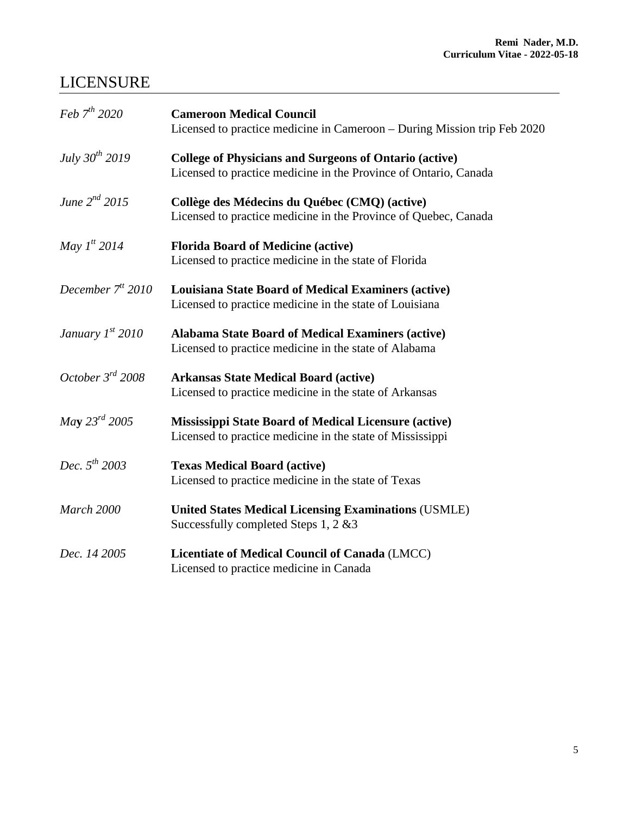### LICENSURE

| Feb $7^{th}$ 2020         | <b>Cameroon Medical Council</b>                                          |
|---------------------------|--------------------------------------------------------------------------|
|                           | Licensed to practice medicine in Cameroon - During Mission trip Feb 2020 |
| July $30^{th}$ 2019       | <b>College of Physicians and Surgeons of Ontario (active)</b>            |
|                           | Licensed to practice medicine in the Province of Ontario, Canada         |
| June $2^{nd}$ 2015        | Collège des Médecins du Québec (CMQ) (active)                            |
|                           | Licensed to practice medicine in the Province of Quebec, Canada          |
| May $1^{t}$ 2014          | <b>Florida Board of Medicine (active)</b>                                |
|                           | Licensed to practice medicine in the state of Florida                    |
| December $7tt 2010$       | <b>Louisiana State Board of Medical Examiners (active)</b>               |
|                           | Licensed to practice medicine in the state of Louisiana                  |
| January $1^{st}$ 2010     | <b>Alabama State Board of Medical Examiners (active)</b>                 |
|                           | Licensed to practice medicine in the state of Alabama                    |
| October 3rd 2008          | <b>Arkansas State Medical Board (active)</b>                             |
|                           | Licensed to practice medicine in the state of Arkansas                   |
| <i>May</i> $23^{rd}$ 2005 | <b>Mississippi State Board of Medical Licensure (active)</b>             |
|                           | Licensed to practice medicine in the state of Mississippi                |
| Dec. $5^{th}$ 2003        | <b>Texas Medical Board (active)</b>                                      |
|                           | Licensed to practice medicine in the state of Texas                      |
| March 2000                | <b>United States Medical Licensing Examinations (USMLE)</b>              |
|                           | Successfully completed Steps 1, 2 & 3                                    |
| Dec. 14 2005              | Licentiate of Medical Council of Canada (LMCC)                           |
|                           | Licensed to practice medicine in Canada                                  |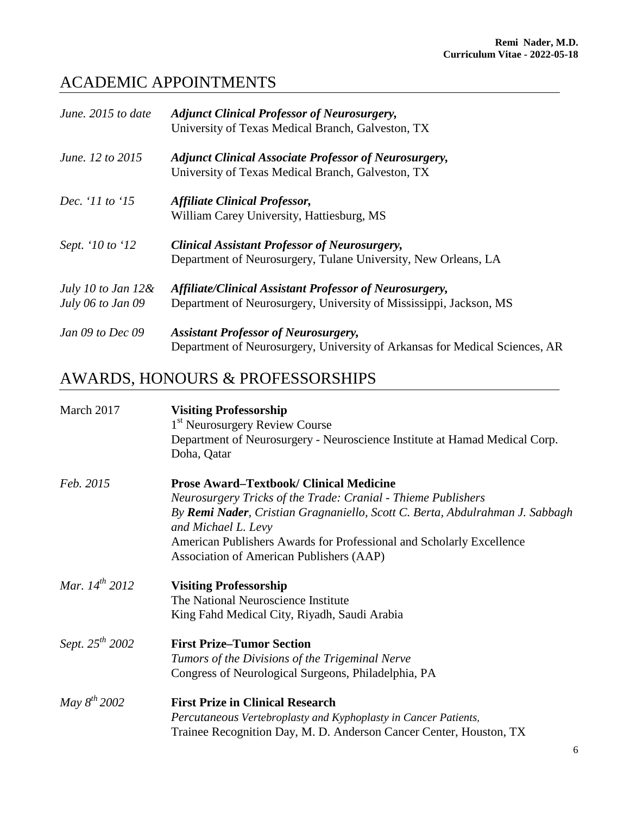### ACADEMIC APPOINTMENTS

| June. 2015 to date                         | <b>Adjunct Clinical Professor of Neurosurgery,</b><br>University of Texas Medical Branch, Galveston, TX                       |
|--------------------------------------------|-------------------------------------------------------------------------------------------------------------------------------|
| June. 12 to 2015                           | <b>Adjunct Clinical Associate Professor of Neurosurgery,</b><br>University of Texas Medical Branch, Galveston, TX             |
| Dec. '11 to '15                            | <b>Affiliate Clinical Professor,</b><br>William Carey University, Hattiesburg, MS                                             |
| Sept. '10 to '12                           | <b>Clinical Assistant Professor of Neurosurgery,</b><br>Department of Neurosurgery, Tulane University, New Orleans, LA        |
| July 10 to Jan $12\&$<br>July 06 to Jan 09 | Affiliate/Clinical Assistant Professor of Neurosurgery,<br>Department of Neurosurgery, University of Mississippi, Jackson, MS |
| Jan 09 to Dec 09                           | <b>Assistant Professor of Neurosurgery,</b><br>Department of Neurosurgery, University of Arkansas for Medical Sciences, AR    |

## AWARDS, HONOURS & PROFESSORSHIPS

| March 2017           | <b>Visiting Professorship</b><br>1 <sup>st</sup> Neurosurgery Review Course                         |
|----------------------|-----------------------------------------------------------------------------------------------------|
|                      | Department of Neurosurgery - Neuroscience Institute at Hamad Medical Corp.<br>Doha, Qatar           |
| Feb. 2015            | <b>Prose Award–Textbook/ Clinical Medicine</b>                                                      |
|                      | Neurosurgery Tricks of the Trade: Cranial - Thieme Publishers                                       |
|                      | By Remi Nader, Cristian Gragnaniello, Scott C. Berta, Abdulrahman J. Sabbagh<br>and Michael L. Levy |
|                      | American Publishers Awards for Professional and Scholarly Excellence                                |
|                      | Association of American Publishers (AAP)                                                            |
| Mar. $14^{th}$ 2012  | <b>Visiting Professorship</b>                                                                       |
|                      | The National Neuroscience Institute                                                                 |
|                      | King Fahd Medical City, Riyadh, Saudi Arabia                                                        |
| Sept. $25^{th}$ 2002 | <b>First Prize–Tumor Section</b>                                                                    |
|                      | Tumors of the Divisions of the Trigeminal Nerve                                                     |
|                      | Congress of Neurological Surgeons, Philadelphia, PA                                                 |
| May $8^{th}$ 2002    | <b>First Prize in Clinical Research</b>                                                             |
|                      | Percutaneous Vertebroplasty and Kyphoplasty in Cancer Patients,                                     |
|                      | Trainee Recognition Day, M. D. Anderson Cancer Center, Houston, TX                                  |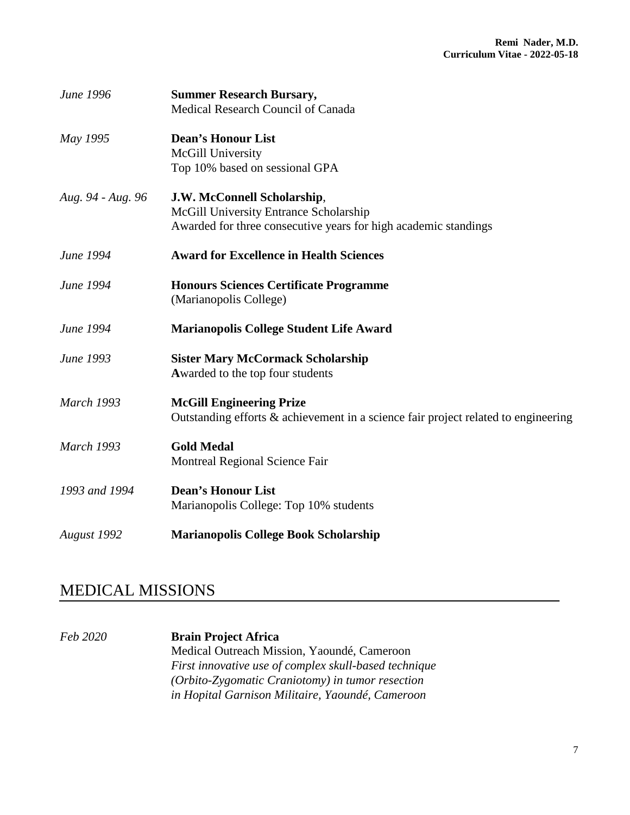| June 1996         | <b>Summer Research Bursary,</b><br>Medical Research Council of Canada                                                                    |
|-------------------|------------------------------------------------------------------------------------------------------------------------------------------|
| May 1995          | <b>Dean's Honour List</b><br>McGill University<br>Top 10% based on sessional GPA                                                         |
| Aug. 94 - Aug. 96 | J.W. McConnell Scholarship,<br>McGill University Entrance Scholarship<br>Awarded for three consecutive years for high academic standings |
| June 1994         | <b>Award for Excellence in Health Sciences</b>                                                                                           |
| June 1994         | <b>Honours Sciences Certificate Programme</b><br>(Marianopolis College)                                                                  |
| June 1994         | <b>Marianopolis College Student Life Award</b>                                                                                           |
| June 1993         | <b>Sister Mary McCormack Scholarship</b><br>Awarded to the top four students                                                             |
| <b>March 1993</b> | <b>McGill Engineering Prize</b><br>Outstanding efforts & achievement in a science fair project related to engineering                    |
| <b>March 1993</b> | <b>Gold Medal</b><br>Montreal Regional Science Fair                                                                                      |
| 1993 and 1994     | <b>Dean's Honour List</b><br>Marianopolis College: Top 10% students                                                                      |
| August 1992       | <b>Marianopolis College Book Scholarship</b>                                                                                             |

#### MEDICAL MISSIONS

*Feb 2020* **Brain Project Africa** Medical Outreach Mission, Yaoundé, Cameroon *First innovative use of complex skull-based technique (Orbito-Zygomatic Craniotomy) in tumor resection in Hopital Garnison Militaire, Yaoundé, Cameroon*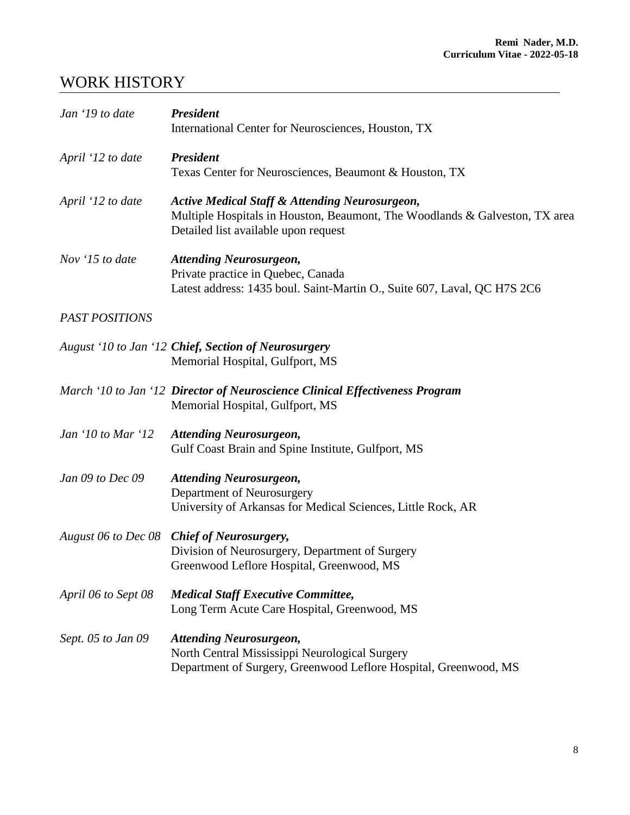### WORK HISTORY

| Jan '19 to date                  | <b>President</b><br>International Center for Neurosciences, Houston, TX                                                                                                          |
|----------------------------------|----------------------------------------------------------------------------------------------------------------------------------------------------------------------------------|
| April '12 to date                | <b>President</b><br>Texas Center for Neurosciences, Beaumont & Houston, TX                                                                                                       |
| April '12 to date                | <b>Active Medical Staff &amp; Attending Neurosurgeon,</b><br>Multiple Hospitals in Houston, Beaumont, The Woodlands & Galveston, TX area<br>Detailed list available upon request |
| Nov '15 to date                  | <b>Attending Neurosurgeon,</b><br>Private practice in Quebec, Canada<br>Latest address: 1435 boul. Saint-Martin O., Suite 607, Laval, QC H7S 2C6                                 |
| <b>PAST POSITIONS</b>            |                                                                                                                                                                                  |
|                                  | August '10 to Jan '12 Chief, Section of Neurosurgery<br>Memorial Hospital, Gulfport, MS                                                                                          |
|                                  | March '10 to Jan '12 Director of Neuroscience Clinical Effectiveness Program<br>Memorial Hospital, Gulfport, MS                                                                  |
| Jan $\dot{10}$ to Mar $\dot{12}$ | <b>Attending Neurosurgeon,</b><br>Gulf Coast Brain and Spine Institute, Gulfport, MS                                                                                             |
| Jan 09 to Dec 09                 | <b>Attending Neurosurgeon,</b><br>Department of Neurosurgery<br>University of Arkansas for Medical Sciences, Little Rock, AR                                                     |
|                                  | August 06 to Dec 08 Chief of Neurosurgery,<br>Division of Neurosurgery, Department of Surgery<br>Greenwood Leflore Hospital, Greenwood, MS                                       |
| April 06 to Sept 08              | <b>Medical Staff Executive Committee,</b><br>Long Term Acute Care Hospital, Greenwood, MS                                                                                        |
| Sept. 05 to Jan 09               | <b>Attending Neurosurgeon,</b><br>North Central Mississippi Neurological Surgery<br>Department of Surgery, Greenwood Leflore Hospital, Greenwood, MS                             |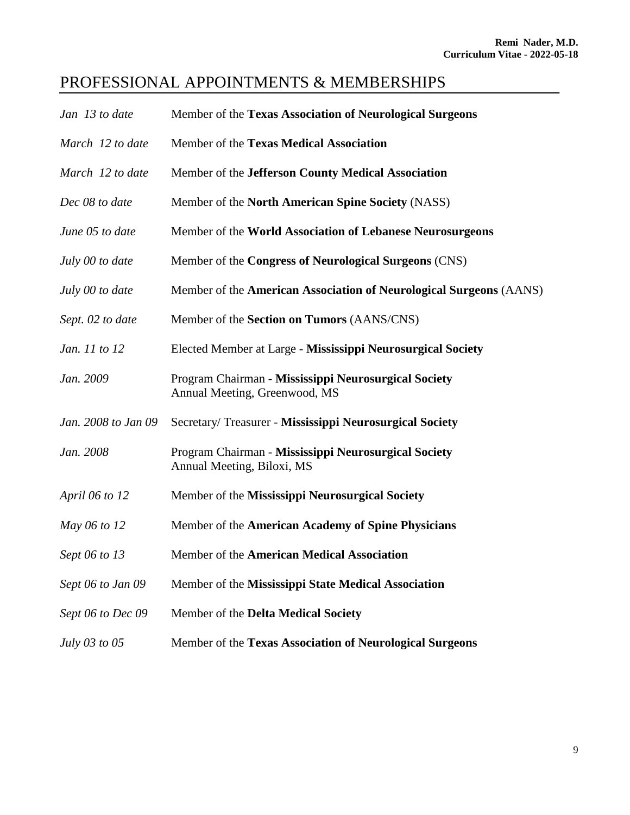### PROFESSIONAL APPOINTMENTS & MEMBERSHIPS

| Jan 13 to date      | Member of the Texas Association of Neurological Surgeons                              |
|---------------------|---------------------------------------------------------------------------------------|
| March 12 to date    | Member of the Texas Medical Association                                               |
| March 12 to date    | Member of the Jefferson County Medical Association                                    |
| Dec 08 to date      | Member of the North American Spine Society (NASS)                                     |
| June 05 to date     | Member of the World Association of Lebanese Neurosurgeons                             |
| July 00 to date     | Member of the Congress of Neurological Surgeons (CNS)                                 |
| July 00 to date     | Member of the American Association of Neurological Surgeons (AANS)                    |
| Sept. 02 to date    | Member of the Section on Tumors (AANS/CNS)                                            |
| Jan. 11 to 12       | Elected Member at Large - Mississippi Neurosurgical Society                           |
| Jan. 2009           | Program Chairman - Mississippi Neurosurgical Society<br>Annual Meeting, Greenwood, MS |
| Jan. 2008 to Jan 09 | Secretary/Treasurer - Mississippi Neurosurgical Society                               |
| Jan. 2008           | Program Chairman - Mississippi Neurosurgical Society<br>Annual Meeting, Biloxi, MS    |
| April 06 to 12      | Member of the Mississippi Neurosurgical Society                                       |
| May 06 to 12        | Member of the American Academy of Spine Physicians                                    |
| Sept 06 to 13       | Member of the American Medical Association                                            |
| Sept 06 to Jan 09   | Member of the Mississippi State Medical Association                                   |
| Sept 06 to Dec 09   | Member of the Delta Medical Society                                                   |
| July 03 to 05       | Member of the Texas Association of Neurological Surgeons                              |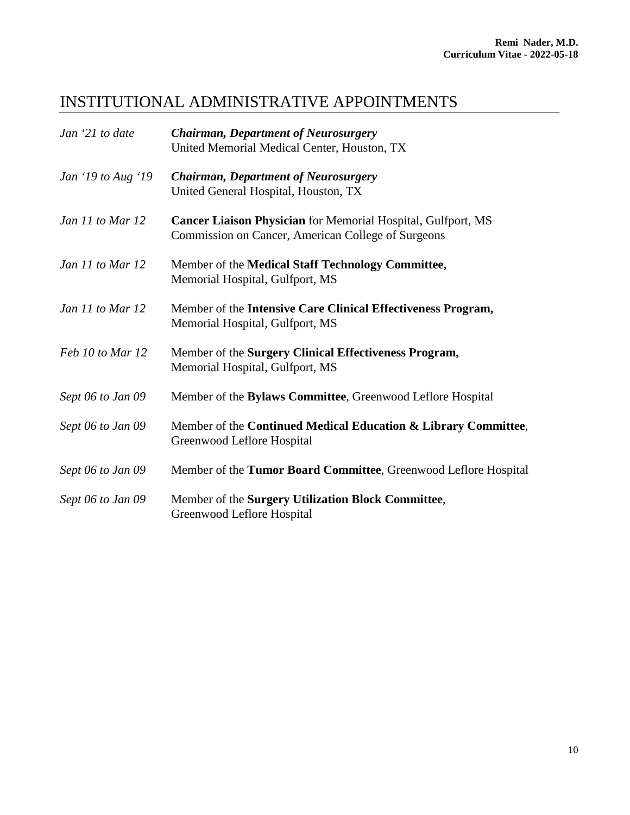#### INSTITUTIONAL ADMINISTRATIVE APPOINTMENTS

| Jan '21 to date    | <b>Chairman, Department of Neurosurgery</b><br>United Memorial Medical Center, Houston, TX                                |
|--------------------|---------------------------------------------------------------------------------------------------------------------------|
| Jan '19 to Aug '19 | <b>Chairman, Department of Neurosurgery</b><br>United General Hospital, Houston, TX                                       |
| Jan 11 to Mar 12   | <b>Cancer Liaison Physician</b> for Memorial Hospital, Gulfport, MS<br>Commission on Cancer, American College of Surgeons |
| Jan 11 to Mar 12   | Member of the Medical Staff Technology Committee,<br>Memorial Hospital, Gulfport, MS                                      |
| Jan 11 to Mar 12   | Member of the Intensive Care Clinical Effectiveness Program,<br>Memorial Hospital, Gulfport, MS                           |
| Feb 10 to Mar 12   | Member of the Surgery Clinical Effectiveness Program,<br>Memorial Hospital, Gulfport, MS                                  |
| Sept 06 to Jan 09  | Member of the Bylaws Committee, Greenwood Leflore Hospital                                                                |
| Sept 06 to Jan 09  | Member of the Continued Medical Education & Library Committee,<br>Greenwood Leflore Hospital                              |
| Sept 06 to Jan 09  | Member of the Tumor Board Committee, Greenwood Leflore Hospital                                                           |
| Sept 06 to Jan 09  | Member of the Surgery Utilization Block Committee,<br>Greenwood Leflore Hospital                                          |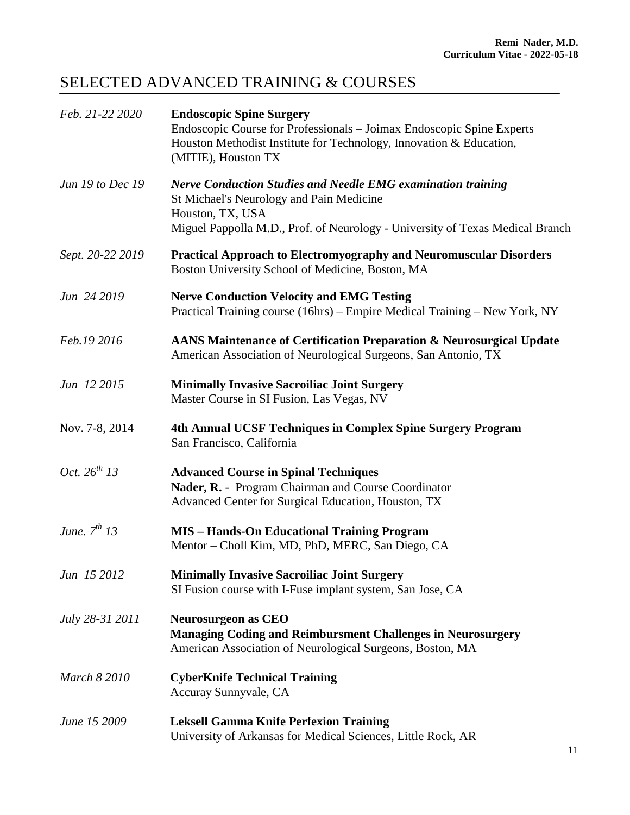## SELECTED ADVANCED TRAINING & COURSES

| Feb. 21-22 2020     | <b>Endoscopic Spine Surgery</b><br>Endoscopic Course for Professionals – Joimax Endoscopic Spine Experts<br>Houston Methodist Institute for Technology, Innovation & Education,<br>(MITIE), Houston TX               |
|---------------------|----------------------------------------------------------------------------------------------------------------------------------------------------------------------------------------------------------------------|
| Jun 19 to Dec 19    | <b>Nerve Conduction Studies and Needle EMG examination training</b><br>St Michael's Neurology and Pain Medicine<br>Houston, TX, USA<br>Miguel Pappolla M.D., Prof. of Neurology - University of Texas Medical Branch |
| Sept. 20-22 2019    | <b>Practical Approach to Electromyography and Neuromuscular Disorders</b><br>Boston University School of Medicine, Boston, MA                                                                                        |
| Jun 24 2019         | <b>Nerve Conduction Velocity and EMG Testing</b><br>Practical Training course (16hrs) – Empire Medical Training – New York, NY                                                                                       |
| Feb.19 2016         | AANS Maintenance of Certification Preparation & Neurosurgical Update<br>American Association of Neurological Surgeons, San Antonio, TX                                                                               |
| Jun 12 2015         | <b>Minimally Invasive Sacroiliac Joint Surgery</b><br>Master Course in SI Fusion, Las Vegas, NV                                                                                                                      |
| Nov. 7-8, 2014      | 4th Annual UCSF Techniques in Complex Spine Surgery Program<br>San Francisco, California                                                                                                                             |
| Oct. $26^{th}$ 13   | <b>Advanced Course in Spinal Techniques</b><br>Nader, R. - Program Chairman and Course Coordinator<br>Advanced Center for Surgical Education, Houston, TX                                                            |
| June, $7^{th}$ 13   | <b>MIS - Hands-On Educational Training Program</b><br>Mentor - Choll Kim, MD, PhD, MERC, San Diego, CA                                                                                                               |
| Jun 15 2012         | <b>Minimally Invasive Sacroiliac Joint Surgery</b><br>SI Fusion course with I-Fuse implant system, San Jose, CA                                                                                                      |
| July 28-31 2011     | <b>Neurosurgeon as CEO</b><br><b>Managing Coding and Reimbursment Challenges in Neurosurgery</b><br>American Association of Neurological Surgeons, Boston, MA                                                        |
| <b>March 8 2010</b> | <b>CyberKnife Technical Training</b><br>Accuray Sunnyvale, CA                                                                                                                                                        |
| June 15 2009        | <b>Leksell Gamma Knife Perfexion Training</b><br>University of Arkansas for Medical Sciences, Little Rock, AR                                                                                                        |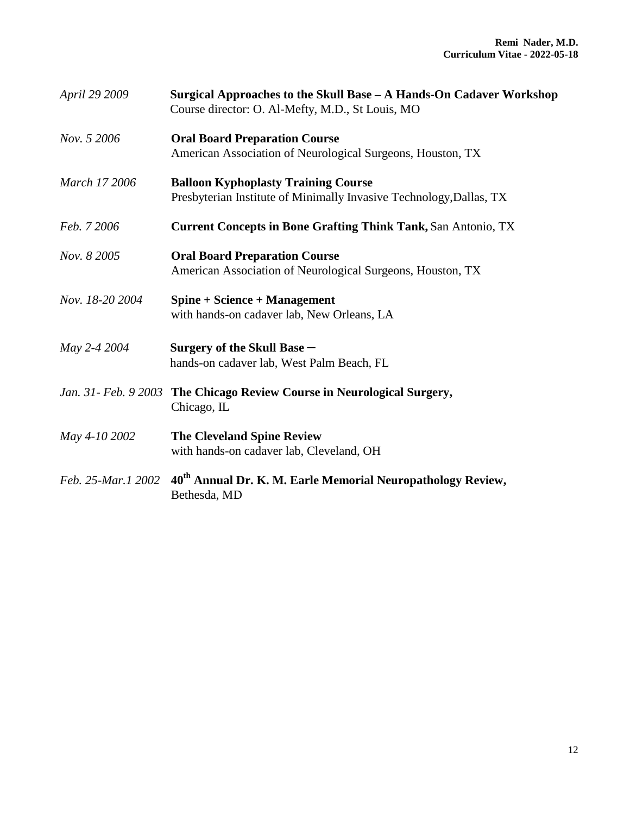| April 29 2009      | Surgical Approaches to the Skull Base - A Hands-On Cadaver Workshop<br>Course director: O. Al-Mefty, M.D., St Louis, MO |
|--------------------|-------------------------------------------------------------------------------------------------------------------------|
| Nov. 5 2006        | <b>Oral Board Preparation Course</b><br>American Association of Neurological Surgeons, Houston, TX                      |
| March 17 2006      | <b>Balloon Kyphoplasty Training Course</b><br>Presbyterian Institute of Minimally Invasive Technology, Dallas, TX       |
| Feb. 7 2006        | <b>Current Concepts in Bone Grafting Think Tank, San Antonio, TX</b>                                                    |
| Nov. 8 2005        | <b>Oral Board Preparation Course</b><br>American Association of Neurological Surgeons, Houston, TX                      |
| Nov. 18-20 2004    | Spine + Science + Management<br>with hands-on cadaver lab, New Orleans, LA                                              |
| May 2-4 2004       | Surgery of the Skull Base -<br>hands-on cadaver lab, West Palm Beach, FL                                                |
|                    | Jan. 31- Feb. 9 2003 The Chicago Review Course in Neurological Surgery,<br>Chicago, IL                                  |
| May 4-10 2002      | <b>The Cleveland Spine Review</b><br>with hands-on cadaver lab, Cleveland, OH                                           |
| Feb. 25-Mar.1 2002 | 40 <sup>th</sup> Annual Dr. K. M. Earle Memorial Neuropathology Review,<br>Bethesda, MD                                 |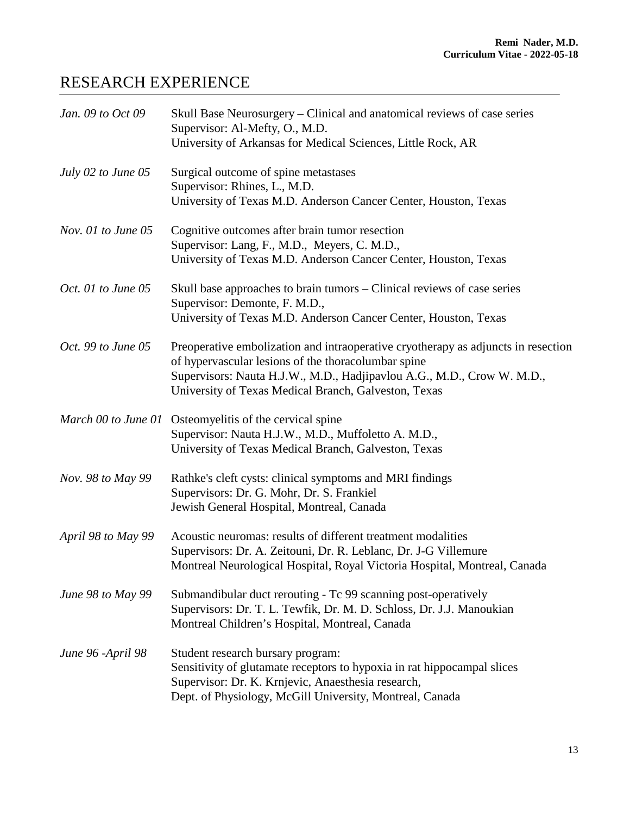### RESEARCH EXPERIENCE

| Jan. 09 to Oct 09  | Skull Base Neurosurgery - Clinical and anatomical reviews of case series<br>Supervisor: Al-Mefty, O., M.D.                                   |
|--------------------|----------------------------------------------------------------------------------------------------------------------------------------------|
|                    | University of Arkansas for Medical Sciences, Little Rock, AR                                                                                 |
| July 02 to June 05 | Surgical outcome of spine metastases<br>Supervisor: Rhines, L., M.D.                                                                         |
|                    | University of Texas M.D. Anderson Cancer Center, Houston, Texas                                                                              |
| Nov. 01 to June 05 | Cognitive outcomes after brain tumor resection<br>Supervisor: Lang, F., M.D., Meyers, C. M.D.,                                               |
|                    | University of Texas M.D. Anderson Cancer Center, Houston, Texas                                                                              |
| Oct. 01 to June 05 | Skull base approaches to brain tumors - Clinical reviews of case series<br>Supervisor: Demonte, F. M.D.,                                     |
|                    | University of Texas M.D. Anderson Cancer Center, Houston, Texas                                                                              |
| Oct. 99 to June 05 | Preoperative embolization and intraoperative cryotherapy as adjuncts in resection<br>of hypervascular lesions of the thoracolumbar spine     |
|                    | Supervisors: Nauta H.J.W., M.D., Hadjipavlou A.G., M.D., Crow W. M.D.,<br>University of Texas Medical Branch, Galveston, Texas               |
|                    | March 00 to June 01 Osteomyelitis of the cervical spine                                                                                      |
|                    | Supervisor: Nauta H.J.W., M.D., Muffoletto A. M.D.,<br>University of Texas Medical Branch, Galveston, Texas                                  |
| Nov. 98 to May 99  | Rathke's cleft cysts: clinical symptoms and MRI findings                                                                                     |
|                    | Supervisors: Dr. G. Mohr, Dr. S. Frankiel                                                                                                    |
|                    | Jewish General Hospital, Montreal, Canada                                                                                                    |
| April 98 to May 99 | Acoustic neuromas: results of different treatment modalities                                                                                 |
|                    | Supervisors: Dr. A. Zeitouni, Dr. R. Leblanc, Dr. J-G Villemure<br>Montreal Neurological Hospital, Royal Victoria Hospital, Montreal, Canada |
| June 98 to May 99  | Submandibular duct rerouting - Tc 99 scanning post-operatively                                                                               |
|                    | Supervisors: Dr. T. L. Tewfik, Dr. M. D. Schloss, Dr. J.J. Manoukian<br>Montreal Children's Hospital, Montreal, Canada                       |
| June 96 -April 98  | Student research bursary program:                                                                                                            |
|                    | Sensitivity of glutamate receptors to hypoxia in rat hippocampal slices<br>Supervisor: Dr. K. Krnjevic, Anaesthesia research,                |
|                    | Dept. of Physiology, McGill University, Montreal, Canada                                                                                     |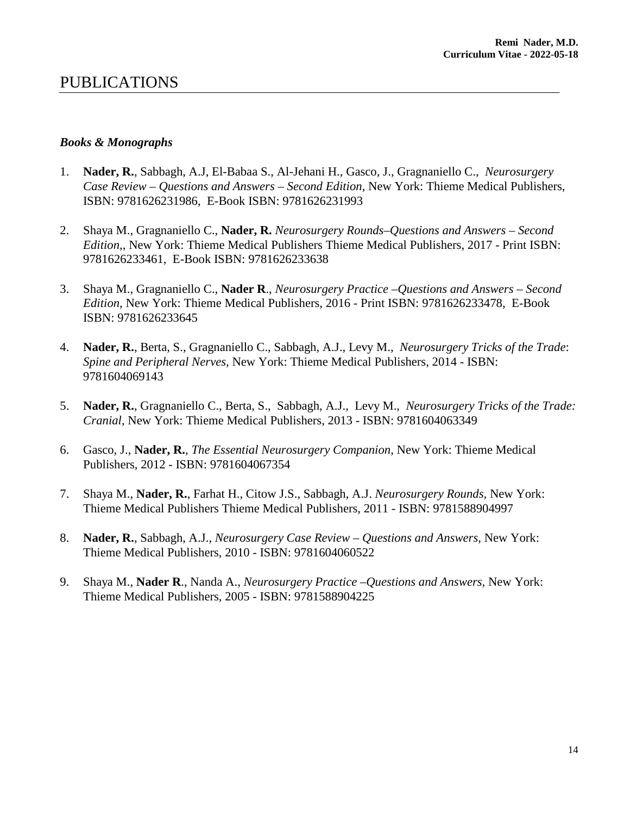#### PUBLICATIONS

#### *Books & Monographs*

- 1. **Nader, R.**, Sabbagh, A.J, El-Babaa S., Al-Jehani H., Gasco, J., Gragnaniello C., *Neurosurgery Case Review – Questions and Answers – Second Edition,* New York: Thieme Medical Publishers, ISBN: 9781626231986, E-Book ISBN: 9781626231993
- 2. Shaya M., Gragnaniello C., **Nader, R.** *Neurosurgery Rounds–Questions and Answers – Second Edition,,* New York: Thieme Medical Publishers Thieme Medical Publishers, 2017 - Print ISBN: 9781626233461, E-Book ISBN: 9781626233638
- 3. Shaya M., Gragnaniello C., **Nader R**., *Neurosurgery Practice –Questions and Answers – Second Edition,* New York: Thieme Medical Publishers, 2016 - Print ISBN: 9781626233478, E-Book ISBN: 9781626233645
- 4. **Nader, R.**, Berta, S., Gragnaniello C., Sabbagh, A.J., Levy M., *Neurosurgery Tricks of the Trade*: *Spine and Peripheral Nerves,* New York: Thieme Medical Publishers, 2014 - ISBN: 9781604069143
- 5. **Nader, R.**, Gragnaniello C., Berta, S., Sabbagh, A.J., Levy M., *Neurosurgery Tricks of the Trade: Cranial*, New York: Thieme Medical Publishers, 2013 - ISBN: 9781604063349
- 6. Gasco, J., **Nader, R.**, *The Essential Neurosurgery Companion*, New York: Thieme Medical Publishers, 2012 - ISBN: 9781604067354
- 7. Shaya M., **Nader, R.**, Farhat H., Citow J.S., Sabbagh, A.J. *Neurosurgery Rounds,* New York: Thieme Medical Publishers Thieme Medical Publishers, 2011 - ISBN: 9781588904997
- 8. **Nader, R.**, Sabbagh, A.J., *Neurosurgery Case Review – Questions and Answers*, New York: Thieme Medical Publishers, 2010 - ISBN: 9781604060522
- 9. Shaya M., **Nader R**., Nanda A., *Neurosurgery Practice –Questions and Answers,* New York: Thieme Medical Publishers, 2005 - ISBN: 9781588904225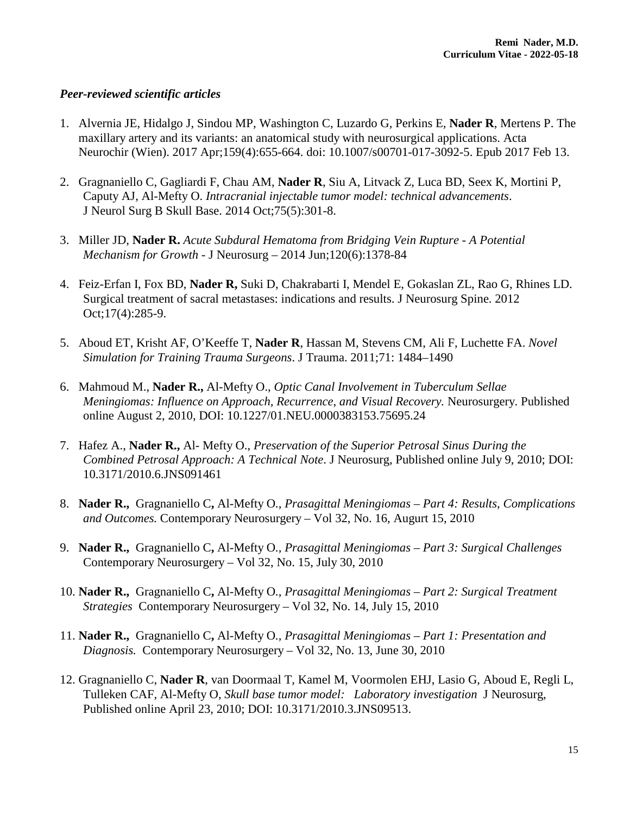#### *Peer-reviewed scientific articles*

- 1. Alvernia JE, Hidalgo J, Sindou MP, Washington C, Luzardo G, Perkins E, **Nader R**, Mertens P. [The](https://www.ncbi.nlm.nih.gov/pubmed/28191601)  [maxillary artery and its variants: an anatomical study with neurosurgical applications.](https://www.ncbi.nlm.nih.gov/pubmed/28191601) Acta Neurochir (Wien). 2017 Apr;159(4):655-664. doi: 10.1007/s00701-017-3092-5. Epub 2017 Feb 13.
- 2. Gragnaniello C, Gagliardi F, Chau AM, **Nader R**, Siu A, Litvack Z, Luca BD, Seex K, Mortini P, Caputy AJ, Al-Mefty O. *Intracranial injectable tumor model: technical advancements*. J Neurol Surg B Skull Base. 2014 Oct;75(5):301-8.
- 3. Miller JD, **Nader R.** *Acute Subdural Hematoma from Bridging Vein Rupture - A Potential Mechanism for Growth* - J Neurosurg – 2014 Jun;120(6):1378-84
- 4. Feiz-Erfan I, Fox BD, **Nader R,** Suki D, Chakrabarti I, Mendel E, Gokaslan ZL, Rao G, Rhines LD. Surgical treatment of sacral metastases: indications and results. J Neurosurg Spine. 2012 Oct;17(4):285-9.
- 5. Aboud ET, Krisht AF, O'Keeffe T, **Nader R**, Hassan M, Stevens CM, Ali F, Luchette FA. *Novel Simulation for Training Trauma Surgeons*. J Trauma. 2011;71: 1484–1490
- 6. Mahmoud M., **Nader R.,** Al-Mefty O., *Optic Canal Involvement in Tuberculum Sellae Meningiomas: Influence on Approach, Recurrence, and Visual Recovery.* Neurosurgery. Published online August 2, 2010, DOI: 10.1227/01.NEU.0000383153.75695.24
- 7. Hafez A., **Nader R.,** Al- Mefty O., *Preservation of the Superior Petrosal Sinus During the Combined Petrosal Approach: A Technical Note*. J Neurosurg, Published online July 9, 2010; DOI: 10.3171/2010.6.JNS091461
- 8. **Nader R.,** Gragnaniello C**,** Al-Mefty O*., Prasagittal Meningiomas – Part 4: Results, Complications and Outcomes.* Contemporary Neurosurgery – Vol 32, No. 16, Augurt 15, 2010
- 9. **Nader R.,** Gragnaniello C**,** Al-Mefty O*., Prasagittal Meningiomas – Part 3: Surgical Challenges*  Contemporary Neurosurgery – Vol 32, No. 15, July 30, 2010
- 10. **Nader R.,** Gragnaniello C**,** Al-Mefty O*., Prasagittal Meningiomas – Part 2: Surgical Treatment Strategies* Contemporary Neurosurgery – Vol 32, No. 14, July 15, 2010
- 11. **Nader R.,** Gragnaniello C**,** Al-Mefty O*., Prasagittal Meningiomas – Part 1: Presentation and Diagnosis.* Contemporary Neurosurgery – Vol 32, No. 13, June 30, 2010
- 12. Gragnaniello C, **Nader R**, van Doormaal T, Kamel M, Voormolen EHJ, Lasio G, Aboud E, Regli L, Tulleken CAF, Al-Mefty O, *Skull base tumor model: Laboratory investigation* J Neurosurg, Published online April 23, 2010; DOI: 10.3171/2010.3.JNS09513.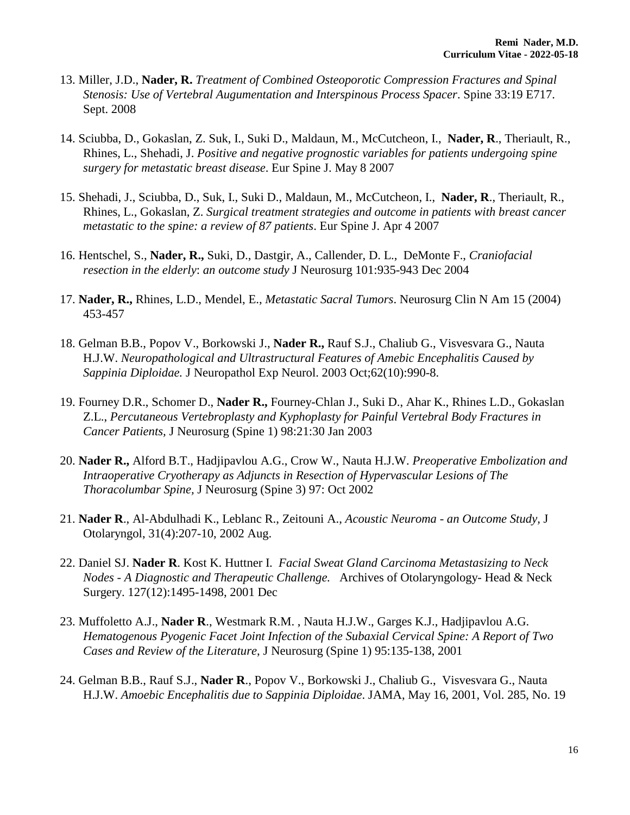- 13. Miller, J.D., **Nader, R.** *Treatment of Combined Osteoporotic Compression Fractures and Spinal Stenosis: Use of Vertebral Augumentation and Interspinous Process Spacer*. Spine 33:19 E717. Sept. 2008
- 14. Sciubba, D., Gokaslan, Z. Suk, I., Suki D., Maldaun, M., McCutcheon, I., **Nader, R**., Theriault, R., Rhines, L., Shehadi, J. *Positive and negative prognostic variables for patients undergoing spine surgery for metastatic breast disease*. Eur Spine J. May 8 2007
- 15. Shehadi, J., Sciubba, D., Suk, I., Suki D., Maldaun, M., McCutcheon, I., **Nader, R**., Theriault, R., Rhines, L., Gokaslan, Z. *Surgical treatment strategies and outcome in patients with breast cancer metastatic to the spine: a review of 87 patients*. Eur Spine J. Apr 4 2007
- 16. Hentschel, S., **Nader, R.,** Suki, D., Dastgir, A., Callender, D. L., DeMonte F., *Craniofacial resection in the elderly*: *an outcome study* J Neurosurg 101:935-943 Dec 2004
- 17. **Nader, R.,** Rhines, L.D., Mendel, E., *Metastatic Sacral Tumors*. Neurosurg Clin N Am 15 (2004) 453-457
- 18. Gelman B.B., Popov V., Borkowski J., **Nader R.,** Rauf S.J., Chaliub G., Visvesvara G., Nauta H.J.W. *Neuropathological and Ultrastructural Features of Amebic Encephalitis Caused by Sappinia Diploidae.* J Neuropathol Exp Neurol. 2003 Oct;62(10):990-8.
- 19. Fourney D.R., Schomer D., **Nader R.,** Fourney-Chlan J., Suki D., Ahar K., Rhines L.D., Gokaslan Z.L., *Percutaneous Vertebroplasty and Kyphoplasty for Painful Vertebral Body Fractures in Cancer Patients,* J Neurosurg (Spine 1) 98:21:30 Jan 2003
- 20. **Nader R.,** Alford B.T., Hadjipavlou A.G., Crow W., Nauta H.J.W. *Preoperative Embolization and Intraoperative Cryotherapy as Adjuncts in Resection of Hypervascular Lesions of The Thoracolumbar Spine,* J Neurosurg (Spine 3) 97: Oct 2002
- 21. **Nader R**., Al-Abdulhadi K., Leblanc R., Zeitouni A., *Acoustic Neuroma - an Outcome Study,* J Otolaryngol, 31(4):207-10, 2002 Aug.
- 22. Daniel SJ. **Nader R**. Kost K. Huttner I. *Facial Sweat Gland Carcinoma Metastasizing to Neck Nodes - A Diagnostic and Therapeutic Challenge.* Archives of Otolaryngology- Head & Neck Surgery. 127(12):1495-1498, 2001 Dec
- 23. Muffoletto A.J., **Nader R**., Westmark R.M. , Nauta H.J.W., Garges K.J., Hadjipavlou A.G. *Hematogenous Pyogenic Facet Joint Infection of the Subaxial Cervical Spine: A Report of Two Cases and Review of the Literature*, J Neurosurg (Spine 1) 95:135-138, 2001
- 24. Gelman B.B., Rauf S.J., **Nader R**., Popov V., Borkowski J., Chaliub G., Visvesvara G., Nauta H.J.W. *Amoebic Encephalitis due to Sappinia Diploidae*. JAMA, May 16, 2001, Vol. 285, No. 19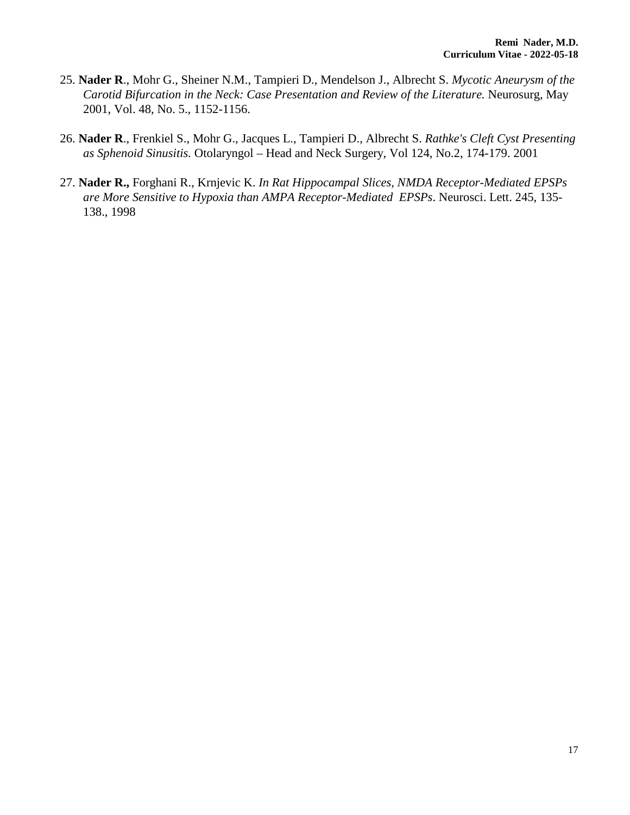- 25. **Nader R**., Mohr G., Sheiner N.M., Tampieri D., Mendelson J., Albrecht S. *Mycotic Aneurysm of the Carotid Bifurcation in the Neck: Case Presentation and Review of the Literature.* Neurosurg, May 2001, Vol. 48, No. 5., 1152-1156.
- 26. **Nader R**., Frenkiel S., Mohr G., Jacques L., Tampieri D., Albrecht S. *Rathke's Cleft Cyst Presenting as Sphenoid Sinusitis.* Otolaryngol – Head and Neck Surgery, Vol 124, No.2, 174-179. 2001
- 27. **Nader R.,** Forghani R., Krnjevic K. *In Rat Hippocampal Slices, NMDA Receptor-Mediated EPSPs are More Sensitive to Hypoxia than AMPA Receptor-Mediated EPSPs*. Neurosci. Lett. 245, 135- 138., 1998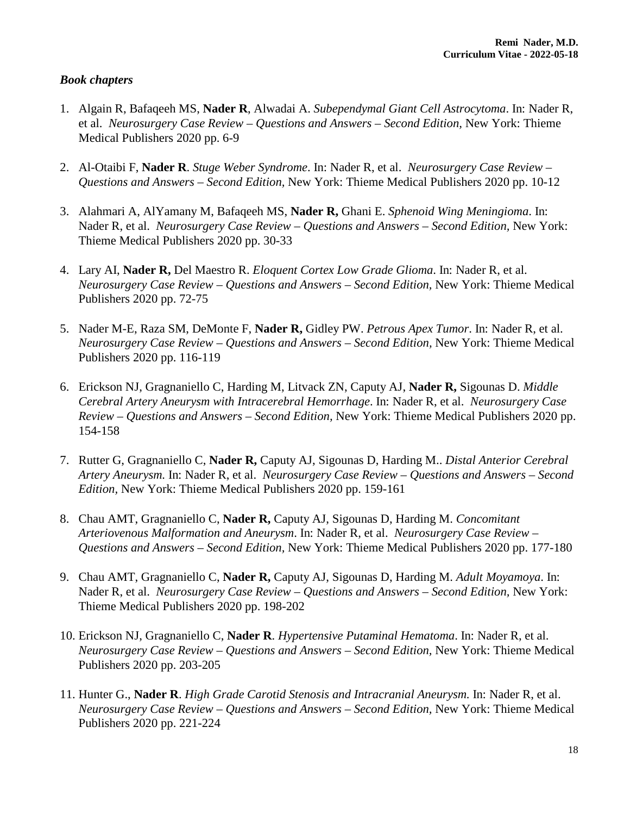#### *Book chapters*

- 1. Algain R, Bafaqeeh MS, **Nader R**, Alwadai A. *Subependymal Giant Cell Astrocytoma*. In: Nader R, et al. *Neurosurgery Case Review – Questions and Answers – Second Edition,* New York: Thieme Medical Publishers 2020 pp. 6-9
- 2. Al-Otaibi F, **Nader R**. *Stuge Weber Syndrome*. In: Nader R, et al. *Neurosurgery Case Review – Questions and Answers – Second Edition,* New York: Thieme Medical Publishers 2020 pp. 10-12
- 3. Alahmari A, AlYamany M, Bafaqeeh MS, **Nader R,** Ghani E. *Sphenoid Wing Meningioma*. In: Nader R, et al. *Neurosurgery Case Review – Questions and Answers – Second Edition,* New York: Thieme Medical Publishers 2020 pp. 30-33
- 4. Lary AI, **Nader R,** Del Maestro R. *Eloquent Cortex Low Grade Glioma*. In: Nader R, et al. *Neurosurgery Case Review – Questions and Answers – Second Edition,* New York: Thieme Medical Publishers 2020 pp. 72-75
- 5. Nader M-E, Raza SM, DeMonte F, **Nader R,** Gidley PW. *Petrous Apex Tumor*. In: Nader R, et al. *Neurosurgery Case Review – Questions and Answers – Second Edition,* New York: Thieme Medical Publishers 2020 pp. 116-119
- 6. Erickson NJ, Gragnaniello C, Harding M, Litvack ZN, Caputy AJ, **Nader R,** Sigounas D. *Middle Cerebral Artery Aneurysm with Intracerebral Hemorrhage*. In: Nader R, et al. *Neurosurgery Case Review – Questions and Answers – Second Edition,* New York: Thieme Medical Publishers 2020 pp. 154-158
- 7. Rutter G, Gragnaniello C, **Nader R,** Caputy AJ, Sigounas D, Harding M.. *Distal Anterior Cerebral Artery Aneurysm.* In: Nader R, et al. *Neurosurgery Case Review – Questions and Answers – Second Edition,* New York: Thieme Medical Publishers 2020 pp. 159-161
- 8. Chau AMT, Gragnaniello C, **Nader R,** Caputy AJ, Sigounas D, Harding M. *Concomitant Arteriovenous Malformation and Aneurysm*. In: Nader R, et al. *Neurosurgery Case Review – Questions and Answers – Second Edition,* New York: Thieme Medical Publishers 2020 pp. 177-180
- 9. Chau AMT, Gragnaniello C, **Nader R,** Caputy AJ, Sigounas D, Harding M. *Adult Moyamoya*. In: Nader R, et al. *Neurosurgery Case Review – Questions and Answers – Second Edition,* New York: Thieme Medical Publishers 2020 pp. 198-202
- 10. Erickson NJ, Gragnaniello C, **Nader R**. *Hypertensive Putaminal Hematoma*. In: Nader R, et al. *Neurosurgery Case Review – Questions and Answers – Second Edition,* New York: Thieme Medical Publishers 2020 pp. 203-205
- 11. Hunter G., **Nader R**. *High Grade Carotid Stenosis and Intracranial Aneurysm.* In: Nader R, et al. *Neurosurgery Case Review – Questions and Answers – Second Edition,* New York: Thieme Medical Publishers 2020 pp. 221-224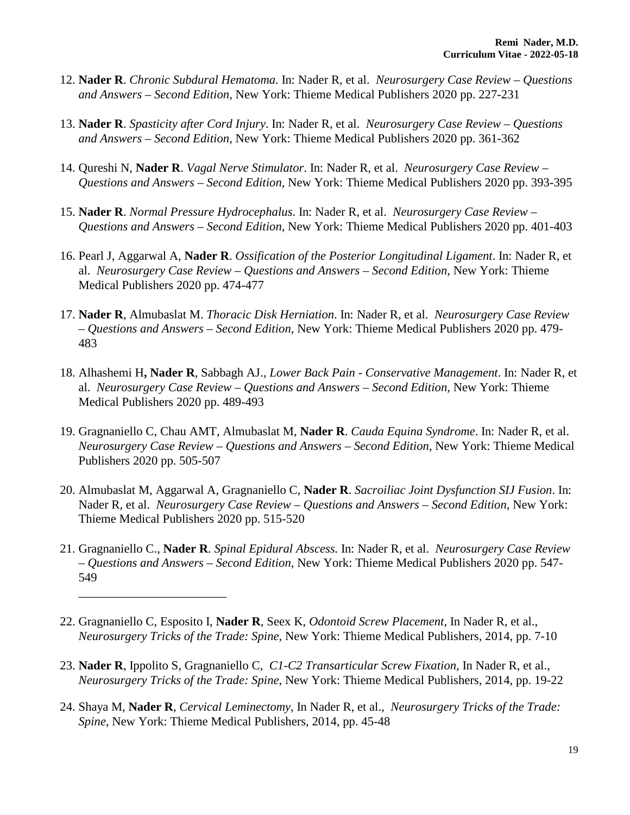- 12. **Nader R**. *Chronic Subdural Hematoma.* In: Nader R, et al. *Neurosurgery Case Review – Questions and Answers – Second Edition,* New York: Thieme Medical Publishers 2020 pp. 227-231
- 13. **Nader R**. *Spasticity after Cord Injury*. In: Nader R, et al. *Neurosurgery Case Review – Questions and Answers – Second Edition,* New York: Thieme Medical Publishers 2020 pp. 361-362
- 14. Qureshi N, **Nader R**. *Vagal Nerve Stimulator*. In: Nader R, et al. *Neurosurgery Case Review – Questions and Answers – Second Edition,* New York: Thieme Medical Publishers 2020 pp. 393-395
- 15. **Nader R**. *Normal Pressure Hydrocephalus*. In: Nader R, et al. *Neurosurgery Case Review – Questions and Answers – Second Edition,* New York: Thieme Medical Publishers 2020 pp. 401-403
- 16. Pearl J, Aggarwal A, **Nader R**. *Ossification of the Posterior Longitudinal Ligament*. In: Nader R, et al. *Neurosurgery Case Review – Questions and Answers – Second Edition,* New York: Thieme Medical Publishers 2020 pp. 474-477
- 17. **Nader R**, Almubaslat M. *Thoracic Disk Herniation*. In: Nader R, et al. *Neurosurgery Case Review – Questions and Answers – Second Edition,* New York: Thieme Medical Publishers 2020 pp. 479- 483
- 18. Alhashemi H**, Nader R**, Sabbagh AJ., *Lower Back Pain - Conservative Management*. In: Nader R, et al. *Neurosurgery Case Review – Questions and Answers – Second Edition,* New York: Thieme Medical Publishers 2020 pp. 489-493
- 19. Gragnaniello C, Chau AMT, Almubaslat M, **Nader R**. *Cauda Equina Syndrome*. In: Nader R, et al. *Neurosurgery Case Review – Questions and Answers – Second Edition,* New York: Thieme Medical Publishers 2020 pp. 505-507
- 20. Almubaslat M, Aggarwal A, Gragnaniello C, **Nader R**. *Sacroiliac Joint Dysfunction SIJ Fusion*. In: Nader R, et al. *Neurosurgery Case Review – Questions and Answers – Second Edition,* New York: Thieme Medical Publishers 2020 pp. 515-520
- 21. Gragnaniello C., **Nader R**. *Spinal Epidural Abscess.* In: Nader R, et al. *Neurosurgery Case Review – Questions and Answers – Second Edition,* New York: Thieme Medical Publishers 2020 pp. 547- 549
- 22. Gragnaniello C, Esposito I, **Nader R**, Seex K, *Odontoid Screw Placement*, In Nader R, et al., *Neurosurgery Tricks of the Trade: Spine*, New York: Thieme Medical Publishers, 2014, pp. 7-10

\_\_\_\_\_\_\_\_\_\_\_\_\_\_\_\_\_\_\_\_\_\_\_\_

- 23. **Nader R**, Ippolito S, Gragnaniello C, *C1-C2 Transarticular Screw Fixation,* In Nader R, et al., *Neurosurgery Tricks of the Trade: Spine*, New York: Thieme Medical Publishers, 2014, pp. 19-22
- 24. Shaya M, **Nader R**, *Cervical Leminectomy,* In Nader R, et al., *Neurosurgery Tricks of the Trade: Spine*, New York: Thieme Medical Publishers, 2014, pp. 45-48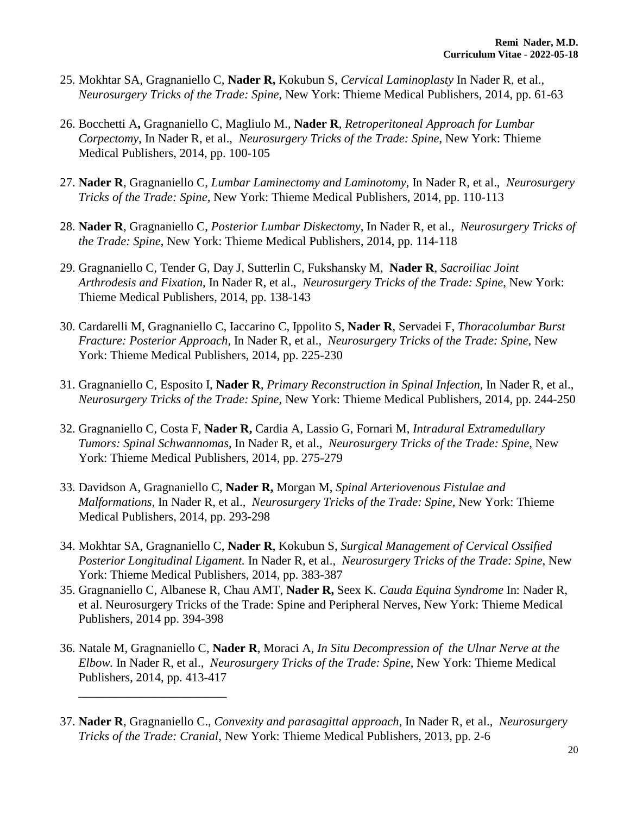- 25. Mokhtar SA, Gragnaniello C, **Nader R,** Kokubun S, *Cervical Laminoplasty* In Nader R, et al., *Neurosurgery Tricks of the Trade: Spine*, New York: Thieme Medical Publishers, 2014, pp. 61-63
- 26. Bocchetti A**,** Gragnaniello C, Magliulo M., **Nader R**, *Retroperitoneal Approach for Lumbar Corpectomy*, In Nader R, et al., *Neurosurgery Tricks of the Trade: Spine*, New York: Thieme Medical Publishers, 2014, pp. 100-105
- 27. **Nader R**, Gragnaniello C, *Lumbar Laminectomy and Laminotomy*, In Nader R, et al., *Neurosurgery Tricks of the Trade: Spine*, New York: Thieme Medical Publishers, 2014, pp. 110-113
- 28. **Nader R**, Gragnaniello C, *Posterior Lumbar Diskectomy*, In Nader R, et al., *Neurosurgery Tricks of the Trade: Spine*, New York: Thieme Medical Publishers, 2014, pp. 114-118
- 29. Gragnaniello C, Tender G, Day J, Sutterlin C, Fukshansky M, **Nader R**, *Sacroiliac Joint Arthrodesis and Fixation*, In Nader R, et al., *Neurosurgery Tricks of the Trade: Spine*, New York: Thieme Medical Publishers, 2014, pp. 138-143
- 30. Cardarelli M, Gragnaniello C, Iaccarino C, Ippolito S, **Nader R**, Servadei F, *Thoracolumbar Burst Fracture: Posterior Approach*, In Nader R, et al., *Neurosurgery Tricks of the Trade: Spine*, New York: Thieme Medical Publishers, 2014, pp. 225-230
- 31. Gragnaniello C, Esposito I, **Nader R**, *Primary Reconstruction in Spinal Infection*, In Nader R, et al., *Neurosurgery Tricks of the Trade: Spine*, New York: Thieme Medical Publishers, 2014, pp. 244-250
- 32. Gragnaniello C, Costa F, **Nader R,** Cardia A, Lassio G, Fornari M, *Intradural Extramedullary Tumors: Spinal Schwannomas*, In Nader R, et al., *Neurosurgery Tricks of the Trade: Spine*, New York: Thieme Medical Publishers, 2014, pp. 275-279
- 33. Davidson A, Gragnaniello C, **Nader R,** Morgan M, *Spinal Arteriovenous Fistulae and Malformations*, In Nader R, et al., *Neurosurgery Tricks of the Trade: Spine*, New York: Thieme Medical Publishers, 2014, pp. 293-298
- 34. Mokhtar SA, Gragnaniello C, **Nader R**, Kokubun S, *Surgical Management of Cervical Ossified Posterior Longitudinal Ligament.* In Nader R, et al., *Neurosurgery Tricks of the Trade: Spine*, New York: Thieme Medical Publishers, 2014, pp. 383-387
- 35. Gragnaniello C, Albanese R, Chau AMT, **Nader R,** Seex K. *Cauda Equina Syndrome* In: Nader R, et al. Neurosurgery Tricks of the Trade: Spine and Peripheral Nerves, New York: Thieme Medical Publishers, 2014 pp. 394-398
- 36. Natale M, Gragnaniello C, **Nader R**, Moraci A, *In Situ Decompression of the Ulnar Nerve at the Elbow.* In Nader R, et al., *Neurosurgery Tricks of the Trade: Spine*, New York: Thieme Medical Publishers, 2014, pp. 413-417

\_\_\_\_\_\_\_\_\_\_\_\_\_\_\_\_\_\_\_\_\_\_\_\_

37. **Nader R**, Gragnaniello C., *Convexity and parasagittal approach*, In Nader R, et al., *Neurosurgery Tricks of the Trade: Cranial*, New York: Thieme Medical Publishers, 2013, pp. 2-6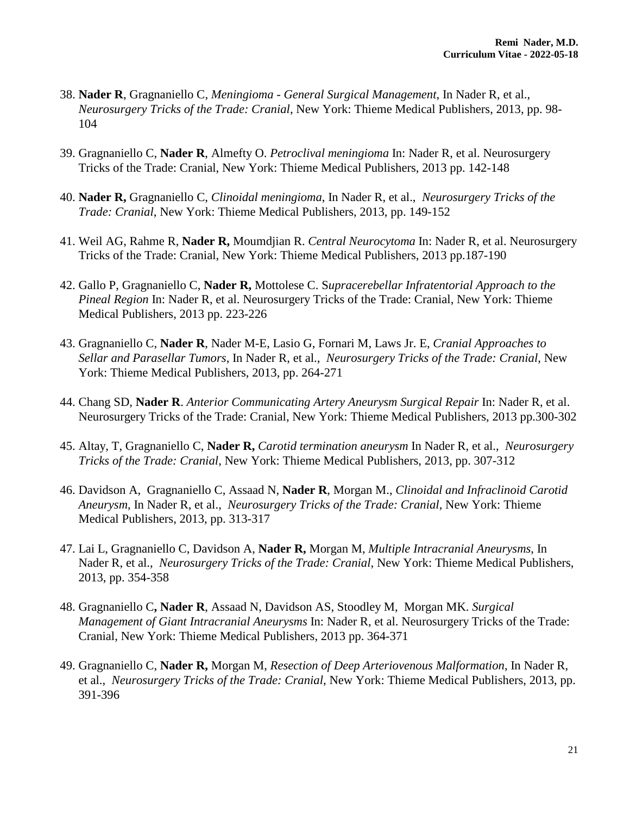- 38. **Nader R**, Gragnaniello C, *Meningioma - General Surgical Management*, In Nader R, et al., *Neurosurgery Tricks of the Trade: Cranial*, New York: Thieme Medical Publishers, 2013, pp. 98- 104
- 39. Gragnaniello C, **Nader R**, Almefty O. *Petroclival meningioma* In: Nader R, et al. Neurosurgery Tricks of the Trade: Cranial, New York: Thieme Medical Publishers, 2013 pp. 142-148
- 40. **Nader R,** Gragnaniello C, *Clinoidal meningioma*, In Nader R, et al., *Neurosurgery Tricks of the Trade: Cranial*, New York: Thieme Medical Publishers, 2013, pp. 149-152
- 41. Weil AG, Rahme R, **Nader R,** Moumdjian R. *Central Neurocytoma* In: Nader R, et al. Neurosurgery Tricks of the Trade: Cranial, New York: Thieme Medical Publishers, 2013 pp.187-190
- 42. Gallo P, Gragnaniello C, **Nader R,** Mottolese C. S*upracerebellar Infratentorial Approach to the Pineal Region* In: Nader R, et al. Neurosurgery Tricks of the Trade: Cranial, New York: Thieme Medical Publishers, 2013 pp. 223-226
- 43. Gragnaniello C, **Nader R**, Nader M-E, Lasio G, Fornari M, Laws Jr. E, *Cranial Approaches to Sellar and Parasellar Tumors*, In Nader R, et al., *Neurosurgery Tricks of the Trade: Cranial*, New York: Thieme Medical Publishers, 2013, pp. 264-271
- 44. Chang SD, **Nader R**. *Anterior Communicating Artery Aneurysm Surgical Repair* In: Nader R, et al. Neurosurgery Tricks of the Trade: Cranial, New York: Thieme Medical Publishers, 2013 pp.300-302
- 45. Altay, T, Gragnaniello C, **Nader R,** *Carotid termination aneurysm* In Nader R, et al., *Neurosurgery Tricks of the Trade: Cranial*, New York: Thieme Medical Publishers, 2013, pp. 307-312
- 46. Davidson A, Gragnaniello C, Assaad N, **Nader R**, Morgan M., *Clinoidal and Infraclinoid Carotid Aneurysm*, In Nader R, et al., *Neurosurgery Tricks of the Trade: Cranial*, New York: Thieme Medical Publishers, 2013, pp. 313-317
- 47. Lai L, Gragnaniello C, Davidson A, **Nader R,** Morgan M, *Multiple Intracranial Aneurysms*, In Nader R, et al., *Neurosurgery Tricks of the Trade: Cranial*, New York: Thieme Medical Publishers, 2013, pp. 354-358
- 48. Gragnaniello C**, Nader R**, Assaad N, Davidson AS, Stoodley M, Morgan MK. *Surgical Management of Giant Intracranial Aneurysms* In: Nader R, et al. Neurosurgery Tricks of the Trade: Cranial, New York: Thieme Medical Publishers, 2013 pp. 364-371
- 49. Gragnaniello C, **Nader R,** Morgan M, *Resection of Deep Arteriovenous Malformation*, In Nader R, et al., *Neurosurgery Tricks of the Trade: Cranial*, New York: Thieme Medical Publishers, 2013, pp. 391-396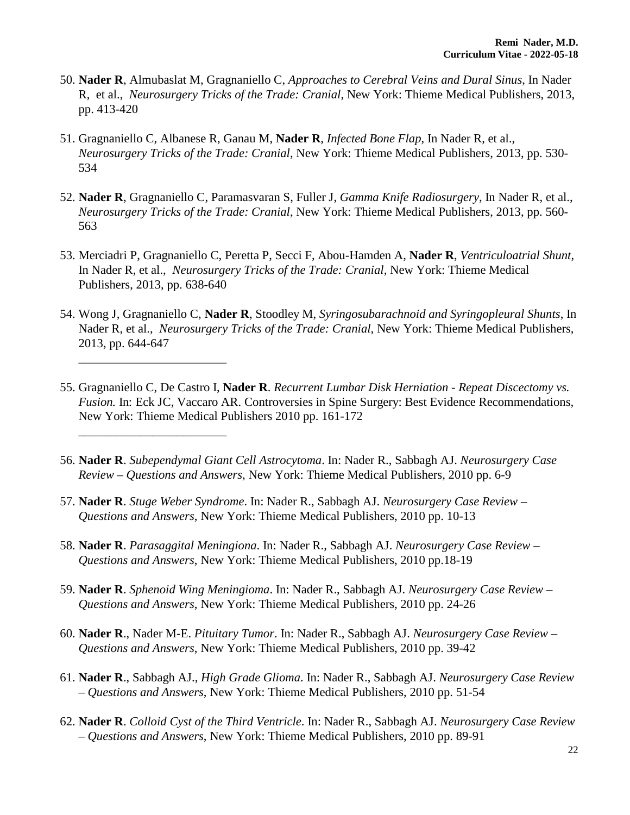- 50. **Nader R**, Almubaslat M, Gragnaniello C, *Approaches to Cerebral Veins and Dural Sinus*, In Nader R, et al., *Neurosurgery Tricks of the Trade: Cranial*, New York: Thieme Medical Publishers, 2013, pp. 413-420
- 51. Gragnaniello C, Albanese R, Ganau M, **Nader R**, *Infected Bone Flap*, In Nader R, et al., *Neurosurgery Tricks of the Trade: Cranial*, New York: Thieme Medical Publishers, 2013, pp. 530- 534
- 52. **Nader R**, Gragnaniello C, Paramasvaran S, Fuller J, *Gamma Knife Radiosurgery*, In Nader R, et al., *Neurosurgery Tricks of the Trade: Cranial*, New York: Thieme Medical Publishers, 2013, pp. 560- 563
- 53. Merciadri P, Gragnaniello C, Peretta P, Secci F, Abou-Hamden A, **Nader R**, *Ventriculoatrial Shunt*, In Nader R, et al., *Neurosurgery Tricks of the Trade: Cranial*, New York: Thieme Medical Publishers, 2013, pp. 638-640
- 54. Wong J, Gragnaniello C, **Nader R**, Stoodley M, *Syringosubarachnoid and Syringopleural Shunts*, In Nader R, et al., *Neurosurgery Tricks of the Trade: Cranial*, New York: Thieme Medical Publishers, 2013, pp. 644-647
- 55. Gragnaniello C, De Castro I, **Nader R**. *Recurrent Lumbar Disk Herniation - Repeat Discectomy vs. Fusion.* In: Eck JC, Vaccaro AR. Controversies in Spine Surgery: Best Evidence Recommendations, New York: Thieme Medical Publishers 2010 pp. 161-172
- 56. **Nader R**. *Subependymal Giant Cell Astrocytoma*. In: Nader R., Sabbagh AJ. *Neurosurgery Case Review – Questions and Answers*, New York: Thieme Medical Publishers, 2010 pp. 6-9
- 57. **Nader R**. *Stuge Weber Syndrome*. In: Nader R., Sabbagh AJ. *Neurosurgery Case Review – Questions and Answers*, New York: Thieme Medical Publishers, 2010 pp. 10-13

\_\_\_\_\_\_\_\_\_\_\_\_\_\_\_\_\_\_\_\_\_\_\_\_

\_\_\_\_\_\_\_\_\_\_\_\_\_\_\_\_\_\_\_\_\_\_\_\_

- 58. **Nader R**. *Parasaggital Meningiona*. In: Nader R., Sabbagh AJ. *Neurosurgery Case Review – Questions and Answers*, New York: Thieme Medical Publishers, 2010 pp.18-19
- 59. **Nader R**. *Sphenoid Wing Meningioma*. In: Nader R., Sabbagh AJ. *Neurosurgery Case Review – Questions and Answers*, New York: Thieme Medical Publishers, 2010 pp. 24-26
- 60. **Nader R**., Nader M-E. *Pituitary Tumor*. In: Nader R., Sabbagh AJ. *Neurosurgery Case Review – Questions and Answers*, New York: Thieme Medical Publishers, 2010 pp. 39-42
- 61. **Nader R**., Sabbagh AJ., *High Grade Glioma*. In: Nader R., Sabbagh AJ. *Neurosurgery Case Review – Questions and Answers*, New York: Thieme Medical Publishers, 2010 pp. 51-54
- 62. **Nader R**. *Colloid Cyst of the Third Ventricle*. In: Nader R., Sabbagh AJ. *Neurosurgery Case Review – Questions and Answers*, New York: Thieme Medical Publishers, 2010 pp. 89-91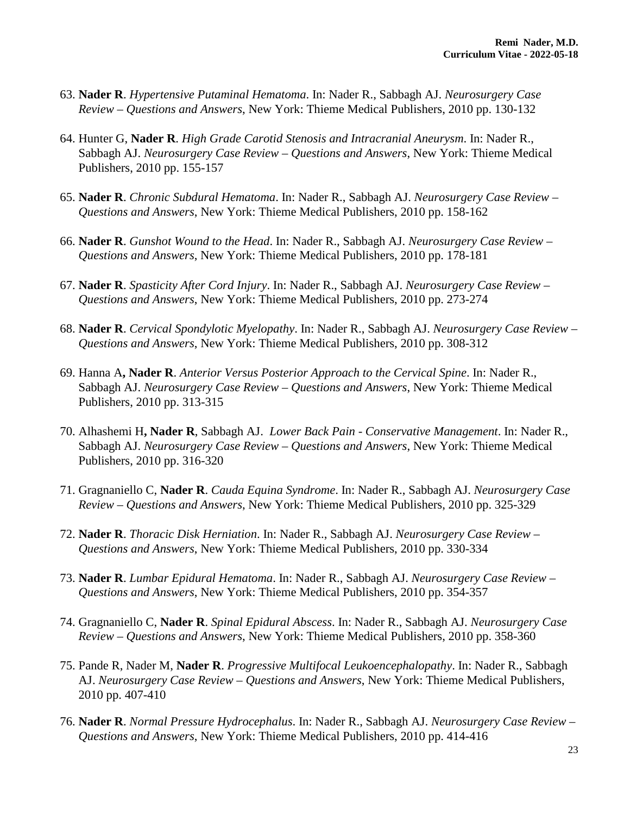- 63. **Nader R**. *Hypertensive Putaminal Hematoma*. In: Nader R., Sabbagh AJ. *Neurosurgery Case Review – Questions and Answers*, New York: Thieme Medical Publishers, 2010 pp. 130-132
- 64. Hunter G, **Nader R**. *High Grade Carotid Stenosis and Intracranial Aneurysm*. In: Nader R., Sabbagh AJ. *Neurosurgery Case Review – Questions and Answers*, New York: Thieme Medical Publishers, 2010 pp. 155-157
- 65. **Nader R**. *Chronic Subdural Hematoma*. In: Nader R., Sabbagh AJ. *Neurosurgery Case Review – Questions and Answers*, New York: Thieme Medical Publishers, 2010 pp. 158-162
- 66. **Nader R**. *Gunshot Wound to the Head*. In: Nader R., Sabbagh AJ. *Neurosurgery Case Review – Questions and Answers*, New York: Thieme Medical Publishers, 2010 pp. 178-181
- 67. **Nader R**. *Spasticity After Cord Injury*. In: Nader R., Sabbagh AJ. *Neurosurgery Case Review – Questions and Answers*, New York: Thieme Medical Publishers, 2010 pp. 273-274
- 68. **Nader R**. *Cervical Spondylotic Myelopathy*. In: Nader R., Sabbagh AJ. *Neurosurgery Case Review – Questions and Answers*, New York: Thieme Medical Publishers, 2010 pp. 308-312
- 69. Hanna A**, Nader R**. *Anterior Versus Posterior Approach to the Cervical Spine*. In: Nader R., Sabbagh AJ. *Neurosurgery Case Review – Questions and Answers*, New York: Thieme Medical Publishers, 2010 pp. 313-315
- 70. Alhashemi H**, Nader R**, Sabbagh AJ. *Lower Back Pain - Conservative Management*. In: Nader R., Sabbagh AJ. *Neurosurgery Case Review – Questions and Answers*, New York: Thieme Medical Publishers, 2010 pp. 316-320
- 71. Gragnaniello C, **Nader R**. *Cauda Equina Syndrome*. In: Nader R., Sabbagh AJ. *Neurosurgery Case Review – Questions and Answers*, New York: Thieme Medical Publishers, 2010 pp. 325-329
- 72. **Nader R**. *Thoracic Disk Herniation*. In: Nader R., Sabbagh AJ. *Neurosurgery Case Review – Questions and Answers*, New York: Thieme Medical Publishers, 2010 pp. 330-334
- 73. **Nader R**. *Lumbar Epidural Hematoma*. In: Nader R., Sabbagh AJ. *Neurosurgery Case Review – Questions and Answers*, New York: Thieme Medical Publishers, 2010 pp. 354-357
- 74. Gragnaniello C, **Nader R**. *Spinal Epidural Abscess*. In: Nader R., Sabbagh AJ. *Neurosurgery Case Review – Questions and Answers*, New York: Thieme Medical Publishers, 2010 pp. 358-360
- 75. Pande R, Nader M, **Nader R**. *Progressive Multifocal Leukoencephalopathy*. In: Nader R., Sabbagh AJ. *Neurosurgery Case Review – Questions and Answers*, New York: Thieme Medical Publishers, 2010 pp. 407-410
- 76. **Nader R**. *Normal Pressure Hydrocephalus*. In: Nader R., Sabbagh AJ. *Neurosurgery Case Review – Questions and Answers*, New York: Thieme Medical Publishers, 2010 pp. 414-416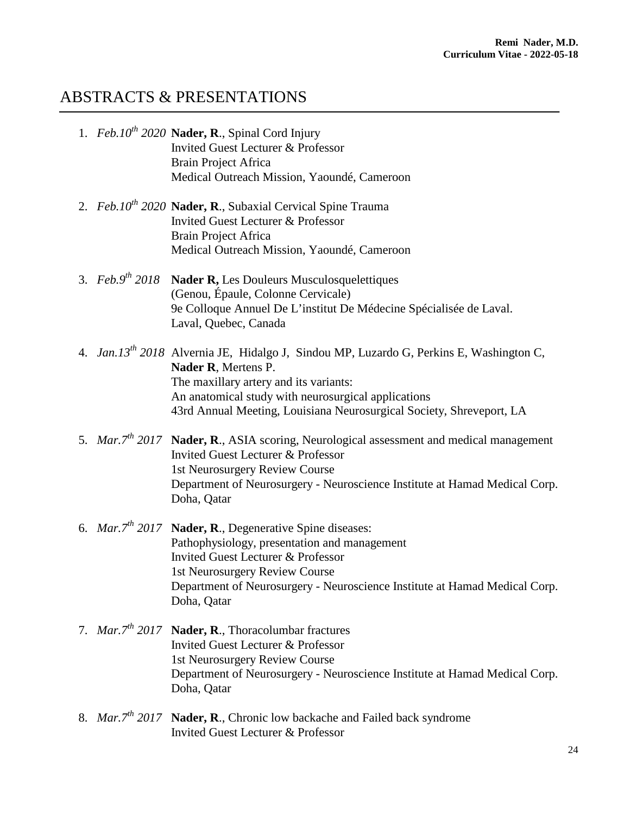#### ABSTRACTS & PRESENTATIONS

- 1.  $Feb.10^{th}$  **2020 Nader, R**., Spinal Cord Injury Invited Guest Lecturer & Professor Brain Project Africa Medical Outreach Mission, Yaoundé, Cameroon
- 2. *Feb.10<sup>th</sup>* 2020 **Nader, R**., Subaxial Cervical Spine Trauma Invited Guest Lecturer & Professor Brain Project Africa Medical Outreach Mission, Yaoundé, Cameroon
- 3. *Feb.9th 2018* **Nader R,** Les Douleurs Musculosquelettiques (Genou, Épaule, Colonne Cervicale) 9e Colloque Annuel De L'institut De Médecine Spécialisée de Laval. Laval, Quebec, Canada
- 4. *Jan.13th 2018* Alvernia JE, Hidalgo J, Sindou MP, Luzardo G, Perkins E, Washington C, **Nader R**, Mertens P. The maxillary artery and its variants: An anatomical study with neurosurgical applications 43rd Annual Meeting, Louisiana Neurosurgical Society, Shreveport, LA
- 5. *Mar.7th 2017* **Nader, R**., ASIA scoring, Neurological assessment and medical management Invited Guest Lecturer & Professor 1st Neurosurgery Review Course Department of Neurosurgery - Neuroscience Institute at Hamad Medical Corp. Doha, Qatar
- 6. *Mar.7th 2017* **Nader, R**., Degenerative Spine diseases: Pathophysiology, presentation and management Invited Guest Lecturer & Professor 1st Neurosurgery Review Course Department of Neurosurgery - Neuroscience Institute at Hamad Medical Corp. Doha, Qatar
- 7. *Mar.7th 2017* **Nader, R**., Thoracolumbar fractures Invited Guest Lecturer & Professor 1st Neurosurgery Review Course Department of Neurosurgery - Neuroscience Institute at Hamad Medical Corp. Doha, Qatar
- 8. *Mar.7th 2017* **Nader, R**., Chronic low backache and Failed back syndrome Invited Guest Lecturer & Professor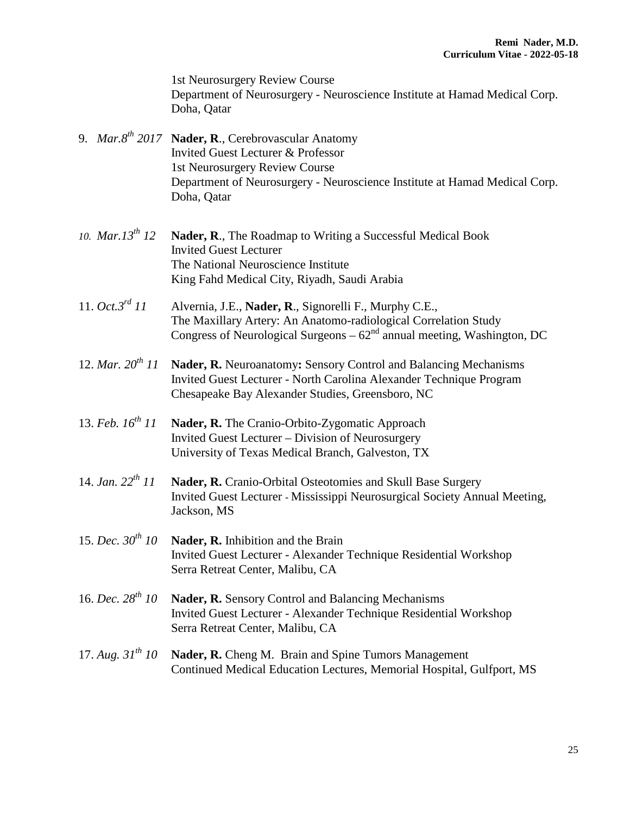1st Neurosurgery Review Course Department of Neurosurgery - Neuroscience Institute at Hamad Medical Corp. Doha, Qatar

- 9. *Mar.8th 2017* **Nader, R**., Cerebrovascular Anatomy Invited Guest Lecturer & Professor 1st Neurosurgery Review Course Department of Neurosurgery - Neuroscience Institute at Hamad Medical Corp. Doha, Qatar
- 10. *Mar.13<sup>th</sup>* 12 **Nader, R**., The Roadmap to Writing a Successful Medical Book Invited Guest Lecturer The National Neuroscience Institute King Fahd Medical City, Riyadh, Saudi Arabia
- 11. *Oct.3rd 11* Alvernia, J.E., **Nader, R**., Signorelli F., Murphy C.E., The Maxillary Artery: An Anatomo-radiological Correlation Study Congress of Neurological Surgeons –  $62<sup>nd</sup>$  annual meeting, Washington, DC
- 12. *Mar. 20th 11* **Nader, R.** Neuroanatomy**:** Sensory Control and Balancing Mechanisms Invited Guest Lecturer - North Carolina Alexander Technique Program Chesapeake Bay Alexander Studies, Greensboro, NC
- 13. *Feb. 16th 11* **Nader, R.** The Cranio-Orbito-Zygomatic Approach Invited Guest Lecturer – Division of Neurosurgery University of Texas Medical Branch, Galveston, TX
- 14. *Jan. 22th 11* **Nader, R.** Cranio-Orbital Osteotomies and Skull Base Surgery Invited Guest Lecturer - Mississippi Neurosurgical Society Annual Meeting, Jackson, MS
- 15. *Dec.*  $30^{th}$  10 **Nader, R.** Inhibition and the Brain Invited Guest Lecturer - Alexander Technique Residential Workshop Serra Retreat Center, Malibu, CA
- 16. *Dec. 28th 10* **Nader, R.** Sensory Control and Balancing Mechanisms Invited Guest Lecturer - Alexander Technique Residential Workshop Serra Retreat Center, Malibu, CA
- 17. *Aug. 31th 10* **Nader, R.** Cheng M.Brain and Spine Tumors Management Continued Medical Education Lectures, Memorial Hospital, Gulfport, MS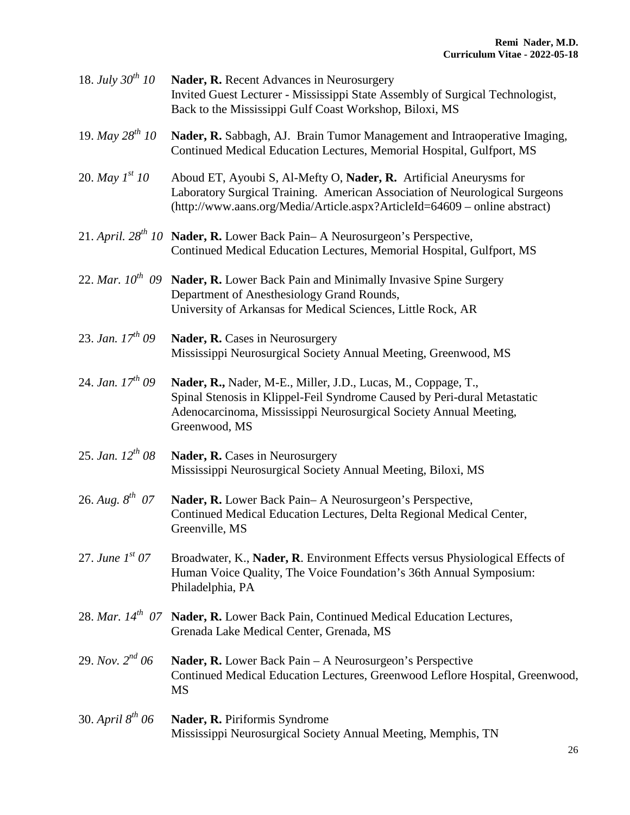| 18. <i>July</i> $30^{th}$ 10 | Nader, R. Recent Advances in Neurosurgery<br>Invited Guest Lecturer - Mississippi State Assembly of Surgical Technologist,<br>Back to the Mississippi Gulf Coast Workshop, Biloxi, MS                                           |
|------------------------------|---------------------------------------------------------------------------------------------------------------------------------------------------------------------------------------------------------------------------------|
| 19. May $28^{th}$ 10         | Nader, R. Sabbagh, AJ. Brain Tumor Management and Intraoperative Imaging,<br>Continued Medical Education Lectures, Memorial Hospital, Gulfport, MS                                                                              |
| 20. <i>May</i> $I^{st}$ 10   | Aboud ET, Ayoubi S, Al-Mefty O, Nader, R. Artificial Aneurysms for<br>Laboratory Surgical Training. American Association of Neurological Surgeons<br>(http://www.aans.org/Media/Article.aspx?ArticleId=64609 – online abstract) |
|                              | 21. April. $28^{th}$ 10 Nader, R. Lower Back Pain-A Neurosurgeon's Perspective,<br>Continued Medical Education Lectures, Memorial Hospital, Gulfport, MS                                                                        |
|                              | 22. Mar. $10^{th}$ 09 Nader, R. Lower Back Pain and Minimally Invasive Spine Surgery<br>Department of Anesthesiology Grand Rounds,<br>University of Arkansas for Medical Sciences, Little Rock, AR                              |
| 23. Jan. $17^{th}$ 09        | Nader, R. Cases in Neurosurgery<br>Mississippi Neurosurgical Society Annual Meeting, Greenwood, MS                                                                                                                              |
| 24. Jan. $17^{th}$ 09        | Nader, R., Nader, M-E., Miller, J.D., Lucas, M., Coppage, T.,<br>Spinal Stenosis in Klippel-Feil Syndrome Caused by Peri-dural Metastatic<br>Adenocarcinoma, Mississippi Neurosurgical Society Annual Meeting,<br>Greenwood, MS |
| 25. Jan. $12^{th}$ 08        | Nader, R. Cases in Neurosurgery<br>Mississippi Neurosurgical Society Annual Meeting, Biloxi, MS                                                                                                                                 |
| 26. Aug. $8^{th}$ 07         | Nader, R. Lower Back Pain-A Neurosurgeon's Perspective,<br>Continued Medical Education Lectures, Delta Regional Medical Center,<br>Greenville, MS                                                                               |
| 27. June $1^{st}$ 07         | Broadwater, K., Nader, R. Environment Effects versus Physiological Effects of<br>Human Voice Quality, The Voice Foundation's 36th Annual Symposium:<br>Philadelphia, PA                                                         |
|                              | 28. Mar. $14^{th}$ 07 Nader, R. Lower Back Pain, Continued Medical Education Lectures,<br>Grenada Lake Medical Center, Grenada, MS                                                                                              |
| 29. Nov. $2^{nd}$ 06         | <b>Nader, R.</b> Lower Back Pain – A Neurosurgeon's Perspective<br>Continued Medical Education Lectures, Greenwood Leflore Hospital, Greenwood,<br>MS                                                                           |
| 30. April $8^{th}$ 06        | Nader, R. Piriformis Syndrome<br>Mississippi Neurosurgical Society Annual Meeting, Memphis, TN                                                                                                                                  |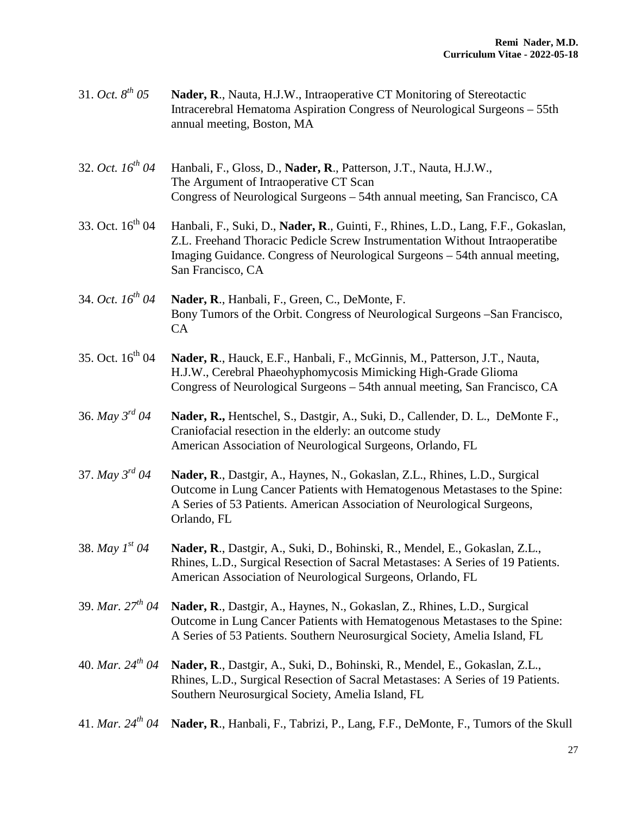| 31. Oct. $8^{th}$ 05  | Nader, R., Nauta, H.J.W., Intraoperative CT Monitoring of Stereotactic<br>Intracerebral Hematoma Aspiration Congress of Neurological Surgeons – 55th<br>annual meeting, Boston, MA                                                                                  |
|-----------------------|---------------------------------------------------------------------------------------------------------------------------------------------------------------------------------------------------------------------------------------------------------------------|
| 32. Oct. $16^{th}$ 04 | Hanbali, F., Gloss, D., Nader, R., Patterson, J.T., Nauta, H.J.W.,<br>The Argument of Intraoperative CT Scan<br>Congress of Neurological Surgeons - 54th annual meeting, San Francisco, CA                                                                          |
| 33. Oct. $16^{th}$ 04 | Hanbali, F., Suki, D., Nader, R., Guinti, F., Rhines, L.D., Lang, F.F., Gokaslan,<br>Z.L. Freehand Thoracic Pedicle Screw Instrumentation Without Intraoperatibe<br>Imaging Guidance. Congress of Neurological Surgeons - 54th annual meeting,<br>San Francisco, CA |
| 34. Oct. $16^{th}$ 04 | Nader, R., Hanbali, F., Green, C., DeMonte, F.<br>Bony Tumors of the Orbit. Congress of Neurological Surgeons – San Francisco,<br><b>CA</b>                                                                                                                         |
| 35. Oct. $16^{th}$ 04 | Nader, R., Hauck, E.F., Hanbali, F., McGinnis, M., Patterson, J.T., Nauta,<br>H.J.W., Cerebral Phaeohyphomycosis Mimicking High-Grade Glioma<br>Congress of Neurological Surgeons - 54th annual meeting, San Francisco, CA                                          |
| 36. May $3^{rd}$ 04   | Nader, R., Hentschel, S., Dastgir, A., Suki, D., Callender, D. L., DeMonte F.,<br>Craniofacial resection in the elderly: an outcome study<br>American Association of Neurological Surgeons, Orlando, FL                                                             |
| 37. May $3^{rd}$ 04   | Nader, R., Dastgir, A., Haynes, N., Gokaslan, Z.L., Rhines, L.D., Surgical<br>Outcome in Lung Cancer Patients with Hematogenous Metastases to the Spine:<br>A Series of 53 Patients. American Association of Neurological Surgeons,<br>Orlando, FL                  |
| 38. May $1^{st}$ 04   | Nader, R., Dastgir, A., Suki, D., Bohinski, R., Mendel, E., Gokaslan, Z.L.,<br>Rhines, L.D., Surgical Resection of Sacral Metastases: A Series of 19 Patients.<br>American Association of Neurological Surgeons, Orlando, FL                                        |
| 39. Mar. $27^{th}$ 04 | Nader, R., Dastgir, A., Haynes, N., Gokaslan, Z., Rhines, L.D., Surgical<br>Outcome in Lung Cancer Patients with Hematogenous Metastases to the Spine:<br>A Series of 53 Patients. Southern Neurosurgical Society, Amelia Island, FL                                |
| 40. Mar. $24^{th}$ 04 | Nader, R., Dastgir, A., Suki, D., Bohinski, R., Mendel, E., Gokaslan, Z.L.,<br>Rhines, L.D., Surgical Resection of Sacral Metastases: A Series of 19 Patients.<br>Southern Neurosurgical Society, Amelia Island, FL                                                 |
| 41. Mar. $24^{th}$ 04 | Nader, R., Hanbali, F., Tabrizi, P., Lang, F.F., DeMonte, F., Tumors of the Skull                                                                                                                                                                                   |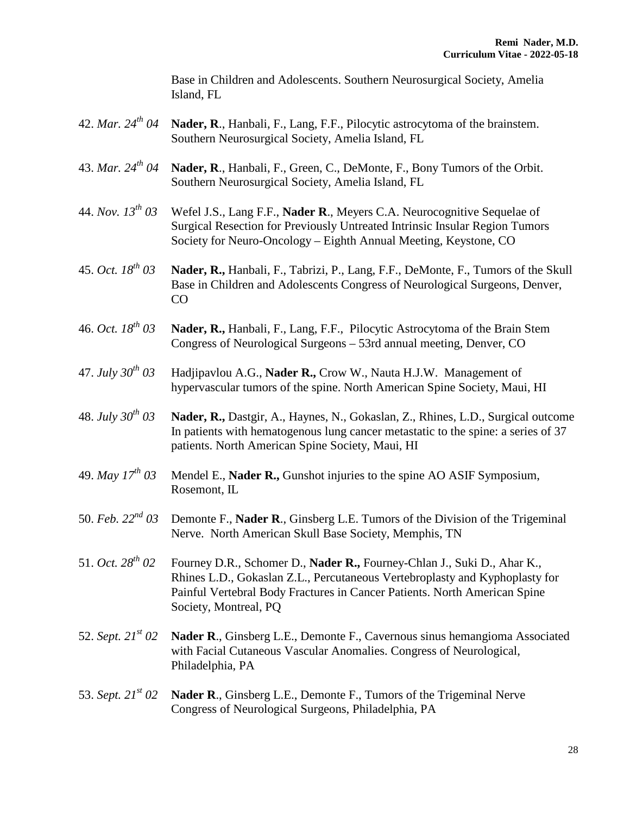Base in Children and Adolescents. Southern Neurosurgical Society, Amelia Island, FL

42. *Mar. 24<sup>th</sup> 04* **Nader, R**., Hanbali, F., Lang, F.F., Pilocytic astrocytoma of the brainstem. Southern Neurosurgical Society, Amelia Island, FL 43. *Mar. 24th 04* **Nader, R**., Hanbali, F., Green, C., DeMonte, F., Bony Tumors of the Orbit. Southern Neurosurgical Society, Amelia Island, FL 44. *Nov. 13th 03* Wefel J.S., Lang F.F., **Nader R**., Meyers C.A. Neurocognitive Sequelae of Surgical Resection for Previously Untreated Intrinsic Insular Region Tumors Society for Neuro-Oncology – Eighth Annual Meeting, Keystone, CO 45. *Oct. 18th 03* **Nader, R.,** Hanbali, F., Tabrizi, P., Lang, F.F., DeMonte, F., Tumors of the Skull Base in Children and Adolescents Congress of Neurological Surgeons, Denver, CO 46. *Oct. 18th 03* **Nader, R.,** Hanbali, F., Lang, F.F., Pilocytic Astrocytoma of the Brain Stem Congress of Neurological Surgeons – 53rd annual meeting, Denver, CO 47. *July 30th 03* Hadjipavlou A.G., **Nader R.,** Crow W., Nauta H.J.W. Management of hypervascular tumors of the spine. North American Spine Society, Maui, HI 48. *July 30th 03* **Nader, R.,** Dastgir, A., Haynes, N., Gokaslan, Z., Rhines, L.D., Surgical outcome In patients with hematogenous lung cancer metastatic to the spine: a series of 37 patients. North American Spine Society, Maui, HI 49. *May*  $17^{th}$  *03* Mendel E., **Nader R.,** Gunshot injuries to the spine AO ASIF Symposium, Rosemont, IL 50. *Feb. 22nd 03* Demonte F., **Nader R**., Ginsberg L.E. Tumors of the Division of the Trigeminal Nerve. North American Skull Base Society, Memphis, TN 51. *Oct. 28th 02* Fourney D.R., Schomer D., **Nader R.,** Fourney-Chlan J., Suki D., Ahar K., Rhines L.D., Gokaslan Z.L., Percutaneous Vertebroplasty and Kyphoplasty for Painful Vertebral Body Fractures in Cancer Patients. North American Spine Society, Montreal, PQ 52. *Sept. 21st 02* **Nader R**., Ginsberg L.E., Demonte F., Cavernous sinus hemangioma Associated with Facial Cutaneous Vascular Anomalies. Congress of Neurological, Philadelphia, PA 53. *Sept. 21st 02* **Nader R**., Ginsberg L.E., Demonte F., Tumors of the Trigeminal Nerve Congress of Neurological Surgeons, Philadelphia, PA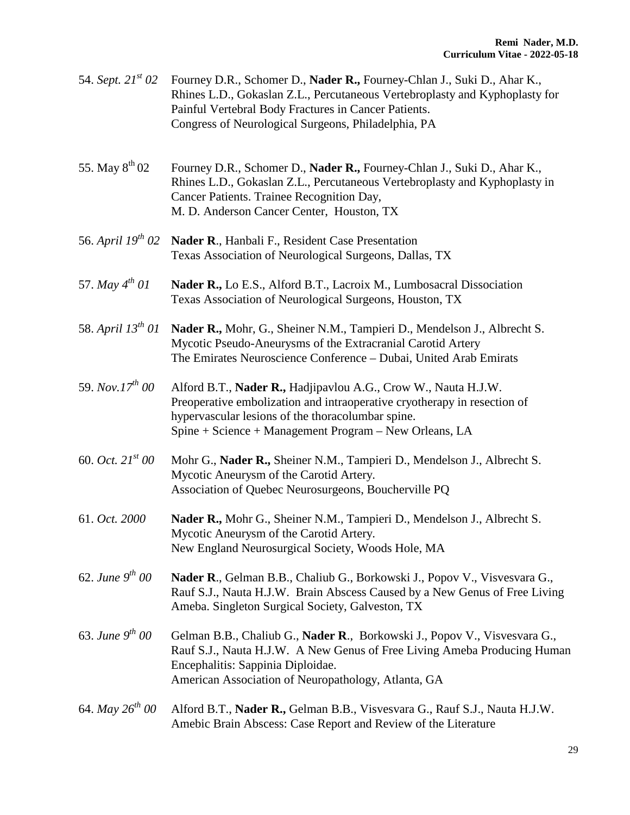| 54. Sept. $21^{st}$ 02        | Fourney D.R., Schomer D., Nader R., Fourney-Chlan J., Suki D., Ahar K.,<br>Rhines L.D., Gokaslan Z.L., Percutaneous Vertebroplasty and Kyphoplasty for<br>Painful Vertebral Body Fractures in Cancer Patients.<br>Congress of Neurological Surgeons, Philadelphia, PA |
|-------------------------------|-----------------------------------------------------------------------------------------------------------------------------------------------------------------------------------------------------------------------------------------------------------------------|
| 55. May $8^{th}$ 02           | Fourney D.R., Schomer D., Nader R., Fourney-Chlan J., Suki D., Ahar K.,<br>Rhines L.D., Gokaslan Z.L., Percutaneous Vertebroplasty and Kyphoplasty in<br>Cancer Patients. Trainee Recognition Day,<br>M. D. Anderson Cancer Center, Houston, TX                       |
| 56. April 19 <sup>th</sup> 02 | Nader R., Hanbali F., Resident Case Presentation<br>Texas Association of Neurological Surgeons, Dallas, TX                                                                                                                                                            |
| 57. May $4^{th}$ 01           | Nader R., Lo E.S., Alford B.T., Lacroix M., Lumbosacral Dissociation<br>Texas Association of Neurological Surgeons, Houston, TX                                                                                                                                       |
| 58. April $13^{th}$ 01        | Nader R., Mohr, G., Sheiner N.M., Tampieri D., Mendelson J., Albrecht S.<br>Mycotic Pseudo-Aneurysms of the Extracranial Carotid Artery<br>The Emirates Neuroscience Conference - Dubai, United Arab Emirats                                                          |
| 59. Nov. $17^{th}$ 00         | Alford B.T., Nader R., Hadjipavlou A.G., Crow W., Nauta H.J.W.<br>Preoperative embolization and intraoperative cryotherapy in resection of<br>hypervascular lesions of the thoracolumbar spine.<br>Spine + Science + Management Program – New Orleans, LA             |
| 60. Oct. $21^{st}$ 00         | Mohr G., Nader R., Sheiner N.M., Tampieri D., Mendelson J., Albrecht S.<br>Mycotic Aneurysm of the Carotid Artery.<br>Association of Quebec Neurosurgeons, Boucherville PQ                                                                                            |
| 61. Oct. 2000                 | Nader R., Mohr G., Sheiner N.M., Tampieri D., Mendelson J., Albrecht S.<br>Mycotic Aneurysm of the Carotid Artery.<br>New England Neurosurgical Society, Woods Hole, MA                                                                                               |
| 62. June $9^{th}$ 00          | Nader R., Gelman B.B., Chaliub G., Borkowski J., Popov V., Visvesvara G.,<br>Rauf S.J., Nauta H.J.W. Brain Abscess Caused by a New Genus of Free Living<br>Ameba. Singleton Surgical Society, Galveston, TX                                                           |
| 63. June $9^{th}$ 00          | Gelman B.B., Chaliub G., Nader R., Borkowski J., Popov V., Visvesvara G.,<br>Rauf S.J., Nauta H.J.W. A New Genus of Free Living Ameba Producing Human<br>Encephalitis: Sappinia Diploidae.<br>American Association of Neuropathology, Atlanta, GA                     |
| 64. May $26^{th}$ 00          | Alford B.T., Nader R., Gelman B.B., Visvesvara G., Rauf S.J., Nauta H.J.W.<br>Amebic Brain Abscess: Case Report and Review of the Literature                                                                                                                          |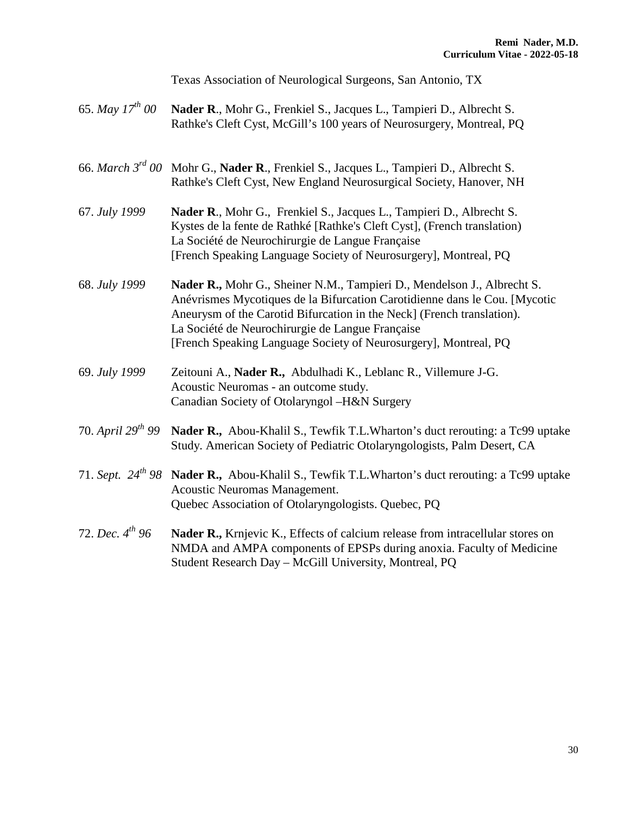Texas Association of Neurological Surgeons, San Antonio, TX

| 65. May $17^{th}$ 00 Nader R., Mohr G., Frenkiel S., Jacques L., Tampieri D., Albrecht S. |
|-------------------------------------------------------------------------------------------|
| Rathke's Cleft Cyst, McGill's 100 years of Neurosurgery, Montreal, PQ                     |

- 66. *March 3rd 00* Mohr G., **Nader R**., Frenkiel S., Jacques L., Tampieri D., Albrecht S. Rathke's Cleft Cyst, New England Neurosurgical Society, Hanover, NH
- 67. *July 1999* **Nader R**., Mohr G., Frenkiel S., Jacques L., Tampieri D., Albrecht S. Kystes de la fente de Rathké [Rathke's Cleft Cyst], (French translation) La Société de Neurochirurgie de Langue Française [French Speaking Language Society of Neurosurgery], Montreal, PQ
- 68. *July 1999* **Nader R.,** Mohr G., Sheiner N.M., Tampieri D., Mendelson J., Albrecht S. Anévrismes Mycotiques de la Bifurcation Carotidienne dans le Cou. [Mycotic Aneurysm of the Carotid Bifurcation in the Neck] (French translation). La Société de Neurochirurgie de Langue Française [French Speaking Language Society of Neurosurgery], Montreal, PQ
- 69. *July 1999* Zeitouni A., **Nader R.,** Abdulhadi K., Leblanc R., Villemure J-G. Acoustic Neuromas - an outcome study. Canadian Society of Otolaryngol –H&N Surgery

#### 70. *April 29th 99* **Nader R.,** Abou-Khalil S., Tewfik T.L.Wharton's duct rerouting: a Tc99 uptake Study. American Society of Pediatric Otolaryngologists, Palm Desert, CA

- 71. *Sept. 24th 98* **Nader R.,** Abou-Khalil S., Tewfik T.L.Wharton's duct rerouting: a Tc99 uptake Acoustic Neuromas Management. Quebec Association of Otolaryngologists. Quebec, PQ
- 72. *Dec. 4th 96* **Nader R.,** Krnjevic K., Effects of calcium release from intracellular stores on NMDA and AMPA components of EPSPs during anoxia. Faculty of Medicine Student Research Day – McGill University, Montreal, PQ